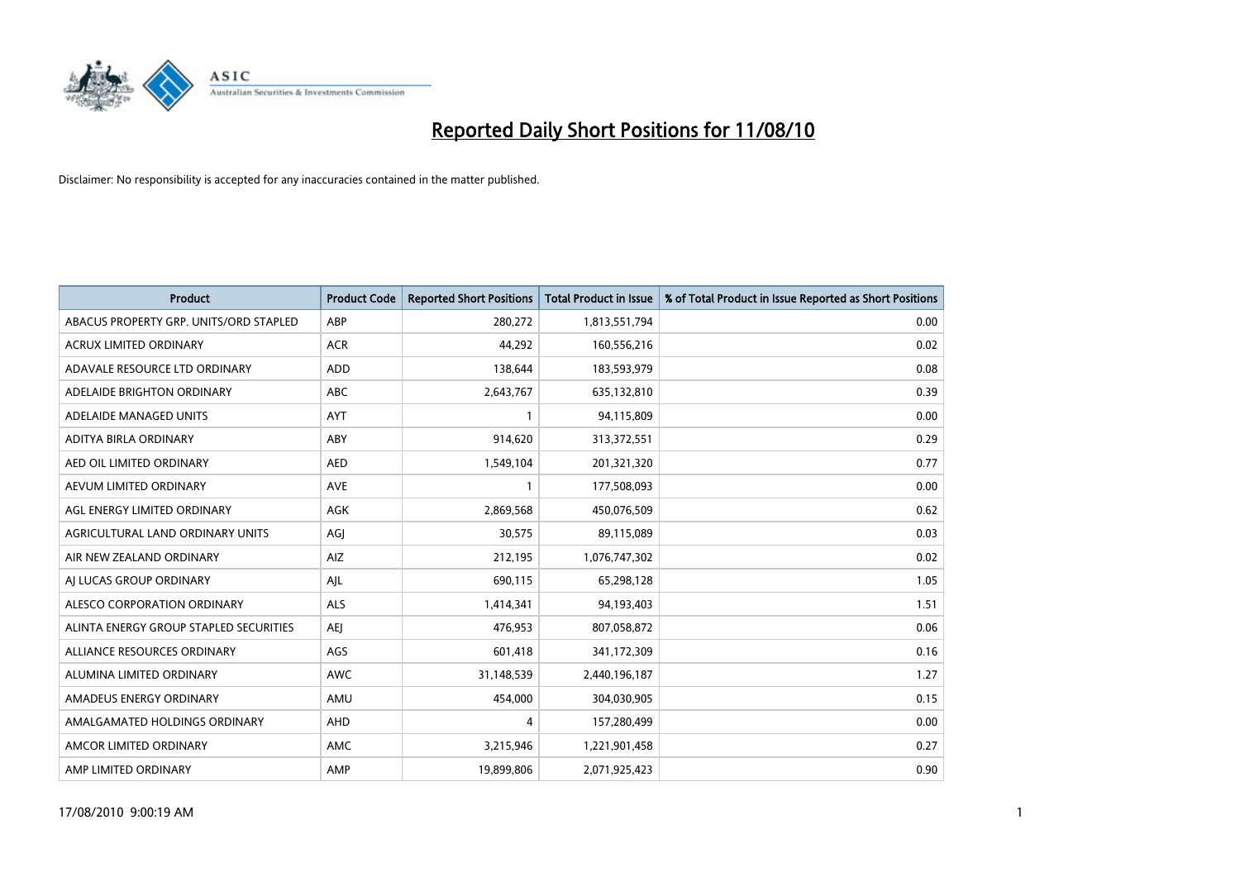

| <b>Product</b>                         | <b>Product Code</b> | <b>Reported Short Positions</b> | <b>Total Product in Issue</b> | % of Total Product in Issue Reported as Short Positions |
|----------------------------------------|---------------------|---------------------------------|-------------------------------|---------------------------------------------------------|
| ABACUS PROPERTY GRP. UNITS/ORD STAPLED | ABP                 | 280,272                         | 1,813,551,794                 | 0.00                                                    |
| ACRUX LIMITED ORDINARY                 | <b>ACR</b>          | 44,292                          | 160,556,216                   | 0.02                                                    |
| ADAVALE RESOURCE LTD ORDINARY          | ADD                 | 138,644                         | 183,593,979                   | 0.08                                                    |
| ADELAIDE BRIGHTON ORDINARY             | <b>ABC</b>          | 2,643,767                       | 635,132,810                   | 0.39                                                    |
| ADELAIDE MANAGED UNITS                 | <b>AYT</b>          |                                 | 94,115,809                    | 0.00                                                    |
| ADITYA BIRLA ORDINARY                  | ABY                 | 914,620                         | 313,372,551                   | 0.29                                                    |
| AED OIL LIMITED ORDINARY               | <b>AED</b>          | 1,549,104                       | 201,321,320                   | 0.77                                                    |
| AEVUM LIMITED ORDINARY                 | <b>AVE</b>          |                                 | 177,508,093                   | 0.00                                                    |
| AGL ENERGY LIMITED ORDINARY            | <b>AGK</b>          | 2,869,568                       | 450,076,509                   | 0.62                                                    |
| AGRICULTURAL LAND ORDINARY UNITS       | AGI                 | 30,575                          | 89,115,089                    | 0.03                                                    |
| AIR NEW ZEALAND ORDINARY               | AIZ                 | 212,195                         | 1,076,747,302                 | 0.02                                                    |
| AI LUCAS GROUP ORDINARY                | AJL                 | 690,115                         | 65,298,128                    | 1.05                                                    |
| ALESCO CORPORATION ORDINARY            | ALS                 | 1,414,341                       | 94,193,403                    | 1.51                                                    |
| ALINTA ENERGY GROUP STAPLED SECURITIES | <b>AEI</b>          | 476,953                         | 807,058,872                   | 0.06                                                    |
| ALLIANCE RESOURCES ORDINARY            | AGS                 | 601,418                         | 341,172,309                   | 0.16                                                    |
| ALUMINA LIMITED ORDINARY               | <b>AWC</b>          | 31,148,539                      | 2,440,196,187                 | 1.27                                                    |
| AMADEUS ENERGY ORDINARY                | AMU                 | 454,000                         | 304,030,905                   | 0.15                                                    |
| AMALGAMATED HOLDINGS ORDINARY          | AHD                 | 4                               | 157,280,499                   | 0.00                                                    |
| AMCOR LIMITED ORDINARY                 | AMC                 | 3,215,946                       | 1,221,901,458                 | 0.27                                                    |
| AMP LIMITED ORDINARY                   | AMP                 | 19,899,806                      | 2,071,925,423                 | 0.90                                                    |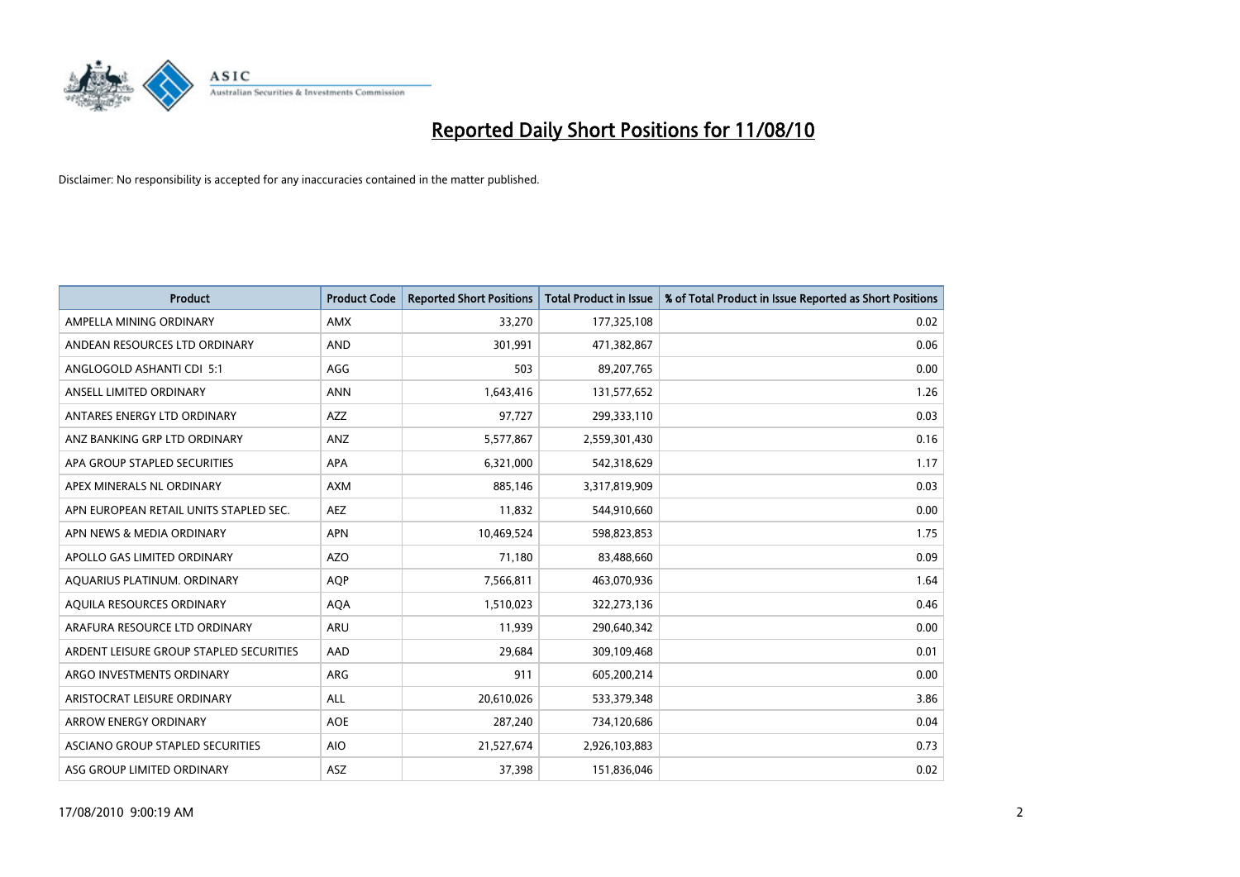

| <b>Product</b>                          | <b>Product Code</b> | <b>Reported Short Positions</b> | Total Product in Issue | % of Total Product in Issue Reported as Short Positions |
|-----------------------------------------|---------------------|---------------------------------|------------------------|---------------------------------------------------------|
| AMPELLA MINING ORDINARY                 | <b>AMX</b>          | 33,270                          | 177,325,108            | 0.02                                                    |
| ANDEAN RESOURCES LTD ORDINARY           | <b>AND</b>          | 301,991                         | 471,382,867            | 0.06                                                    |
| ANGLOGOLD ASHANTI CDI 5:1               | AGG                 | 503                             | 89,207,765             | 0.00                                                    |
| ANSELL LIMITED ORDINARY                 | <b>ANN</b>          | 1,643,416                       | 131,577,652            | 1.26                                                    |
| ANTARES ENERGY LTD ORDINARY             | AZZ                 | 97,727                          | 299,333,110            | 0.03                                                    |
| ANZ BANKING GRP LTD ORDINARY            | ANZ                 | 5,577,867                       | 2,559,301,430          | 0.16                                                    |
| APA GROUP STAPLED SECURITIES            | <b>APA</b>          | 6,321,000                       | 542,318,629            | 1.17                                                    |
| APEX MINERALS NL ORDINARY               | <b>AXM</b>          | 885,146                         | 3,317,819,909          | 0.03                                                    |
| APN EUROPEAN RETAIL UNITS STAPLED SEC.  | <b>AEZ</b>          | 11,832                          | 544,910,660            | 0.00                                                    |
| APN NEWS & MEDIA ORDINARY               | <b>APN</b>          | 10,469,524                      | 598,823,853            | 1.75                                                    |
| APOLLO GAS LIMITED ORDINARY             | <b>AZO</b>          | 71,180                          | 83,488,660             | 0.09                                                    |
| AQUARIUS PLATINUM. ORDINARY             | <b>AOP</b>          | 7,566,811                       | 463,070,936            | 1.64                                                    |
| AQUILA RESOURCES ORDINARY               | <b>AQA</b>          | 1,510,023                       | 322,273,136            | 0.46                                                    |
| ARAFURA RESOURCE LTD ORDINARY           | ARU                 | 11,939                          | 290,640,342            | 0.00                                                    |
| ARDENT LEISURE GROUP STAPLED SECURITIES | AAD                 | 29,684                          | 309,109,468            | 0.01                                                    |
| ARGO INVESTMENTS ORDINARY               | <b>ARG</b>          | 911                             | 605,200,214            | 0.00                                                    |
| ARISTOCRAT LEISURE ORDINARY             | ALL                 | 20,610,026                      | 533,379,348            | 3.86                                                    |
| ARROW ENERGY ORDINARY                   | <b>AOE</b>          | 287,240                         | 734,120,686            | 0.04                                                    |
| ASCIANO GROUP STAPLED SECURITIES        | <b>AIO</b>          | 21,527,674                      | 2,926,103,883          | 0.73                                                    |
| ASG GROUP LIMITED ORDINARY              | ASZ                 | 37,398                          | 151,836,046            | 0.02                                                    |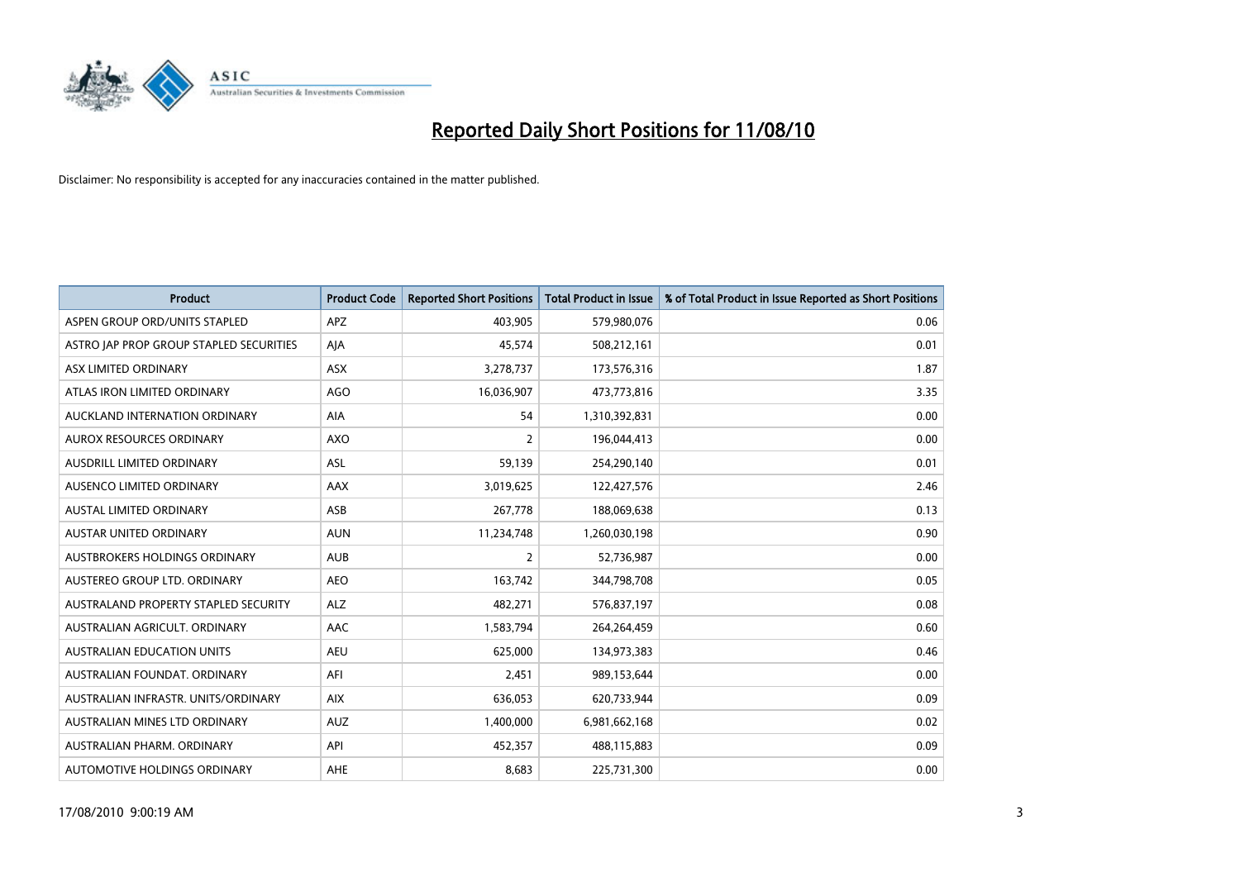

| <b>Product</b>                          | <b>Product Code</b> | <b>Reported Short Positions</b> | Total Product in Issue | % of Total Product in Issue Reported as Short Positions |
|-----------------------------------------|---------------------|---------------------------------|------------------------|---------------------------------------------------------|
| ASPEN GROUP ORD/UNITS STAPLED           | APZ                 | 403,905                         | 579,980,076            | 0.06                                                    |
| ASTRO JAP PROP GROUP STAPLED SECURITIES | AIA                 | 45,574                          | 508,212,161            | 0.01                                                    |
| ASX LIMITED ORDINARY                    | <b>ASX</b>          | 3,278,737                       | 173,576,316            | 1.87                                                    |
| ATLAS IRON LIMITED ORDINARY             | <b>AGO</b>          | 16,036,907                      | 473,773,816            | 3.35                                                    |
| AUCKLAND INTERNATION ORDINARY           | AIA                 | 54                              | 1,310,392,831          | 0.00                                                    |
| AUROX RESOURCES ORDINARY                | AXO                 | $\overline{2}$                  | 196,044,413            | 0.00                                                    |
| <b>AUSDRILL LIMITED ORDINARY</b>        | <b>ASL</b>          | 59,139                          | 254,290,140            | 0.01                                                    |
| AUSENCO LIMITED ORDINARY                | AAX                 | 3,019,625                       | 122,427,576            | 2.46                                                    |
| AUSTAL LIMITED ORDINARY                 | ASB                 | 267,778                         | 188,069,638            | 0.13                                                    |
| <b>AUSTAR UNITED ORDINARY</b>           | <b>AUN</b>          | 11,234,748                      | 1,260,030,198          | 0.90                                                    |
| AUSTBROKERS HOLDINGS ORDINARY           | <b>AUB</b>          | $\overline{2}$                  | 52,736,987             | 0.00                                                    |
| AUSTEREO GROUP LTD. ORDINARY            | <b>AEO</b>          | 163,742                         | 344,798,708            | 0.05                                                    |
| AUSTRALAND PROPERTY STAPLED SECURITY    | <b>ALZ</b>          | 482,271                         | 576,837,197            | 0.08                                                    |
| AUSTRALIAN AGRICULT, ORDINARY           | AAC                 | 1,583,794                       | 264,264,459            | 0.60                                                    |
| <b>AUSTRALIAN EDUCATION UNITS</b>       | <b>AEU</b>          | 625,000                         | 134,973,383            | 0.46                                                    |
| AUSTRALIAN FOUNDAT. ORDINARY            | AFI                 | 2,451                           | 989,153,644            | 0.00                                                    |
| AUSTRALIAN INFRASTR, UNITS/ORDINARY     | <b>AIX</b>          | 636,053                         | 620,733,944            | 0.09                                                    |
| AUSTRALIAN MINES LTD ORDINARY           | <b>AUZ</b>          | 1,400,000                       | 6,981,662,168          | 0.02                                                    |
| AUSTRALIAN PHARM, ORDINARY              | API                 | 452,357                         | 488,115,883            | 0.09                                                    |
| AUTOMOTIVE HOLDINGS ORDINARY            | AHE                 | 8.683                           | 225,731,300            | 0.00                                                    |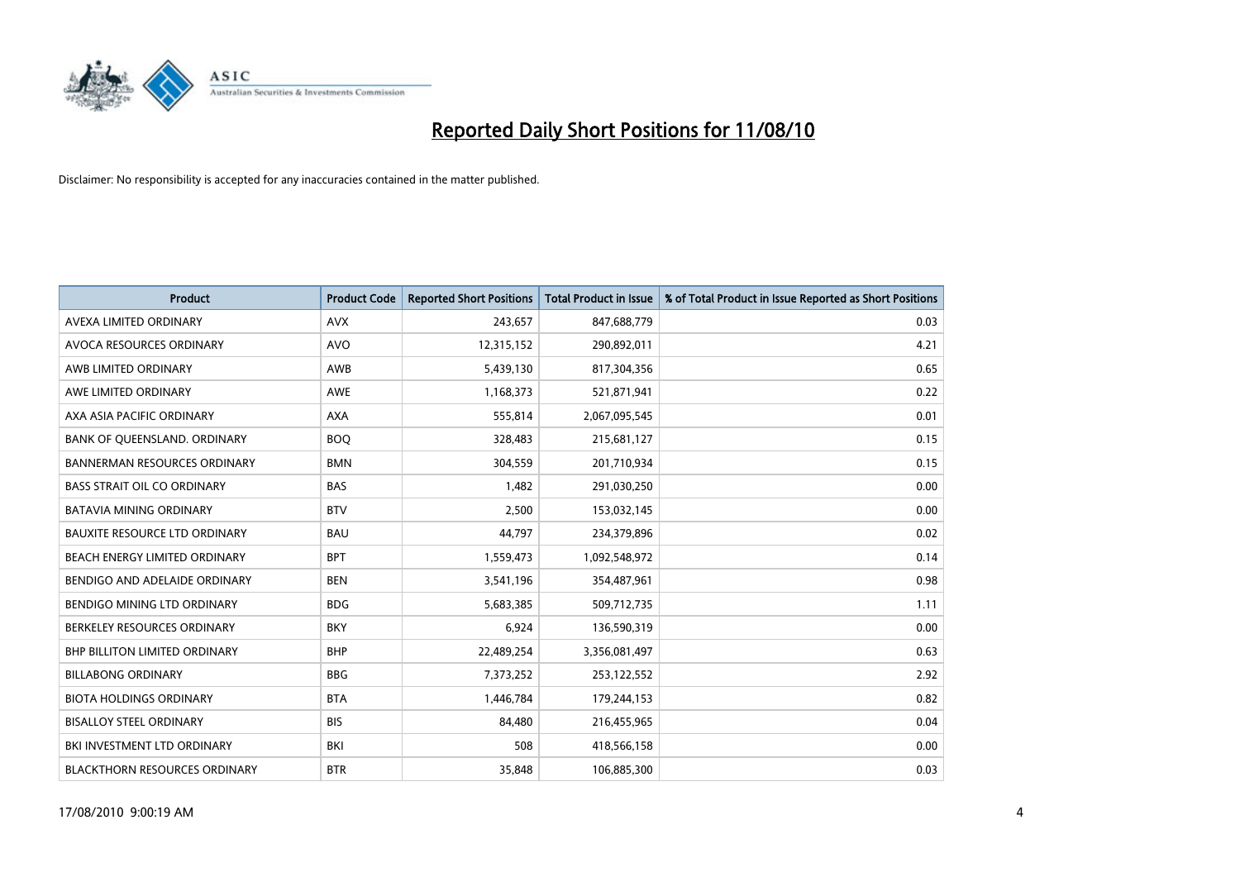

| <b>Product</b>                       | <b>Product Code</b> | <b>Reported Short Positions</b> | <b>Total Product in Issue</b> | % of Total Product in Issue Reported as Short Positions |
|--------------------------------------|---------------------|---------------------------------|-------------------------------|---------------------------------------------------------|
| AVEXA LIMITED ORDINARY               | <b>AVX</b>          | 243,657                         | 847,688,779                   | 0.03                                                    |
| AVOCA RESOURCES ORDINARY             | <b>AVO</b>          | 12,315,152                      | 290,892,011                   | 4.21                                                    |
| AWB LIMITED ORDINARY                 | AWB                 | 5,439,130                       | 817,304,356                   | 0.65                                                    |
| AWE LIMITED ORDINARY                 | <b>AWE</b>          | 1,168,373                       | 521,871,941                   | 0.22                                                    |
| AXA ASIA PACIFIC ORDINARY            | <b>AXA</b>          | 555,814                         | 2,067,095,545                 | 0.01                                                    |
| BANK OF QUEENSLAND. ORDINARY         | <b>BOQ</b>          | 328,483                         | 215,681,127                   | 0.15                                                    |
| <b>BANNERMAN RESOURCES ORDINARY</b>  | <b>BMN</b>          | 304,559                         | 201,710,934                   | 0.15                                                    |
| <b>BASS STRAIT OIL CO ORDINARY</b>   | <b>BAS</b>          | 1,482                           | 291,030,250                   | 0.00                                                    |
| <b>BATAVIA MINING ORDINARY</b>       | <b>BTV</b>          | 2,500                           | 153,032,145                   | 0.00                                                    |
| <b>BAUXITE RESOURCE LTD ORDINARY</b> | <b>BAU</b>          | 44,797                          | 234,379,896                   | 0.02                                                    |
| BEACH ENERGY LIMITED ORDINARY        | <b>BPT</b>          | 1,559,473                       | 1,092,548,972                 | 0.14                                                    |
| BENDIGO AND ADELAIDE ORDINARY        | <b>BEN</b>          | 3,541,196                       | 354,487,961                   | 0.98                                                    |
| BENDIGO MINING LTD ORDINARY          | <b>BDG</b>          | 5,683,385                       | 509,712,735                   | 1.11                                                    |
| BERKELEY RESOURCES ORDINARY          | <b>BKY</b>          | 6,924                           | 136,590,319                   | 0.00                                                    |
| <b>BHP BILLITON LIMITED ORDINARY</b> | <b>BHP</b>          | 22,489,254                      | 3,356,081,497                 | 0.63                                                    |
| <b>BILLABONG ORDINARY</b>            | <b>BBG</b>          | 7,373,252                       | 253,122,552                   | 2.92                                                    |
| <b>BIOTA HOLDINGS ORDINARY</b>       | <b>BTA</b>          | 1,446,784                       | 179,244,153                   | 0.82                                                    |
| <b>BISALLOY STEEL ORDINARY</b>       | <b>BIS</b>          | 84,480                          | 216,455,965                   | 0.04                                                    |
| BKI INVESTMENT LTD ORDINARY          | <b>BKI</b>          | 508                             | 418,566,158                   | 0.00                                                    |
| <b>BLACKTHORN RESOURCES ORDINARY</b> | <b>BTR</b>          | 35,848                          | 106,885,300                   | 0.03                                                    |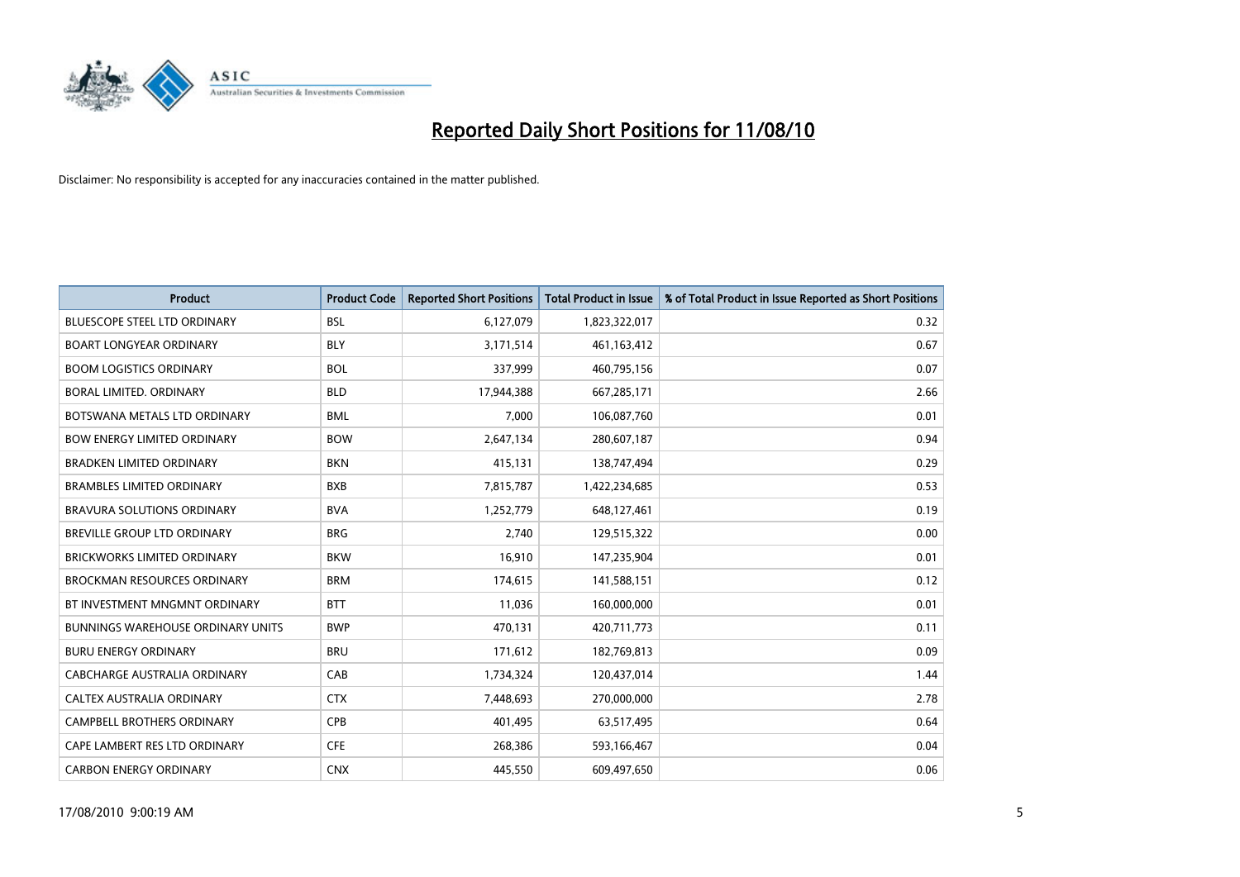

| <b>Product</b>                           | <b>Product Code</b> | <b>Reported Short Positions</b> | Total Product in Issue | % of Total Product in Issue Reported as Short Positions |
|------------------------------------------|---------------------|---------------------------------|------------------------|---------------------------------------------------------|
| <b>BLUESCOPE STEEL LTD ORDINARY</b>      | <b>BSL</b>          | 6,127,079                       | 1,823,322,017          | 0.32                                                    |
| <b>BOART LONGYEAR ORDINARY</b>           | <b>BLY</b>          | 3,171,514                       | 461,163,412            | 0.67                                                    |
| <b>BOOM LOGISTICS ORDINARY</b>           | <b>BOL</b>          | 337,999                         | 460,795,156            | 0.07                                                    |
| BORAL LIMITED. ORDINARY                  | <b>BLD</b>          | 17,944,388                      | 667,285,171            | 2.66                                                    |
| BOTSWANA METALS LTD ORDINARY             | <b>BML</b>          | 7.000                           | 106,087,760            | 0.01                                                    |
| <b>BOW ENERGY LIMITED ORDINARY</b>       | <b>BOW</b>          | 2,647,134                       | 280,607,187            | 0.94                                                    |
| <b>BRADKEN LIMITED ORDINARY</b>          | <b>BKN</b>          | 415,131                         | 138,747,494            | 0.29                                                    |
| <b>BRAMBLES LIMITED ORDINARY</b>         | <b>BXB</b>          | 7,815,787                       | 1,422,234,685          | 0.53                                                    |
| BRAVURA SOLUTIONS ORDINARY               | <b>BVA</b>          | 1,252,779                       | 648,127,461            | 0.19                                                    |
| <b>BREVILLE GROUP LTD ORDINARY</b>       | <b>BRG</b>          | 2.740                           | 129,515,322            | 0.00                                                    |
| <b>BRICKWORKS LIMITED ORDINARY</b>       | <b>BKW</b>          | 16,910                          | 147,235,904            | 0.01                                                    |
| <b>BROCKMAN RESOURCES ORDINARY</b>       | <b>BRM</b>          | 174,615                         | 141,588,151            | 0.12                                                    |
| BT INVESTMENT MNGMNT ORDINARY            | <b>BTT</b>          | 11.036                          | 160,000,000            | 0.01                                                    |
| <b>BUNNINGS WAREHOUSE ORDINARY UNITS</b> | <b>BWP</b>          | 470.131                         | 420,711,773            | 0.11                                                    |
| <b>BURU ENERGY ORDINARY</b>              | <b>BRU</b>          | 171,612                         | 182,769,813            | 0.09                                                    |
| CABCHARGE AUSTRALIA ORDINARY             | CAB                 | 1,734,324                       | 120,437,014            | 1.44                                                    |
| <b>CALTEX AUSTRALIA ORDINARY</b>         | <b>CTX</b>          | 7,448,693                       | 270,000,000            | 2.78                                                    |
| CAMPBELL BROTHERS ORDINARY               | <b>CPB</b>          | 401,495                         | 63,517,495             | 0.64                                                    |
| CAPE LAMBERT RES LTD ORDINARY            | <b>CFE</b>          | 268,386                         | 593,166,467            | 0.04                                                    |
| <b>CARBON ENERGY ORDINARY</b>            | <b>CNX</b>          | 445.550                         | 609.497.650            | 0.06                                                    |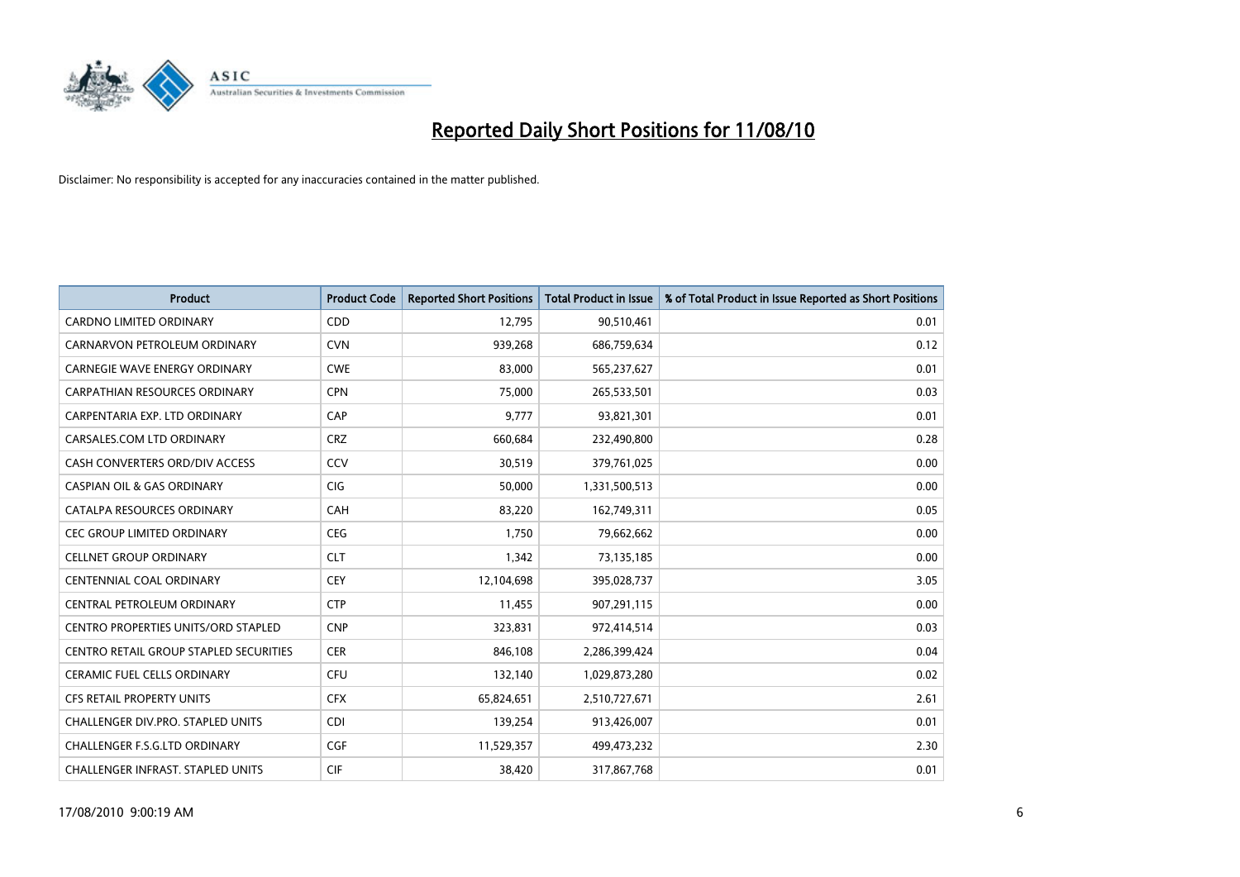

| <b>Product</b>                                | <b>Product Code</b> | <b>Reported Short Positions</b> | Total Product in Issue | % of Total Product in Issue Reported as Short Positions |
|-----------------------------------------------|---------------------|---------------------------------|------------------------|---------------------------------------------------------|
| <b>CARDNO LIMITED ORDINARY</b>                | CDD                 | 12,795                          | 90,510,461             | 0.01                                                    |
| CARNARVON PETROLEUM ORDINARY                  | <b>CVN</b>          | 939,268                         | 686,759,634            | 0.12                                                    |
| <b>CARNEGIE WAVE ENERGY ORDINARY</b>          | <b>CWE</b>          | 83,000                          | 565,237,627            | 0.01                                                    |
| CARPATHIAN RESOURCES ORDINARY                 | <b>CPN</b>          | 75,000                          | 265,533,501            | 0.03                                                    |
| CARPENTARIA EXP. LTD ORDINARY                 | CAP                 | 9,777                           | 93,821,301             | 0.01                                                    |
| CARSALES.COM LTD ORDINARY                     | <b>CRZ</b>          | 660,684                         | 232,490,800            | 0.28                                                    |
| CASH CONVERTERS ORD/DIV ACCESS                | CCV                 | 30,519                          | 379,761,025            | 0.00                                                    |
| <b>CASPIAN OIL &amp; GAS ORDINARY</b>         | <b>CIG</b>          | 50,000                          | 1,331,500,513          | 0.00                                                    |
| CATALPA RESOURCES ORDINARY                    | CAH                 | 83,220                          | 162,749,311            | 0.05                                                    |
| <b>CEC GROUP LIMITED ORDINARY</b>             | <b>CEG</b>          | 1,750                           | 79,662,662             | 0.00                                                    |
| CELLNET GROUP ORDINARY                        | <b>CLT</b>          | 1,342                           | 73,135,185             | 0.00                                                    |
| <b>CENTENNIAL COAL ORDINARY</b>               | <b>CEY</b>          | 12,104,698                      | 395,028,737            | 3.05                                                    |
| CENTRAL PETROLEUM ORDINARY                    | <b>CTP</b>          | 11,455                          | 907,291,115            | 0.00                                                    |
| <b>CENTRO PROPERTIES UNITS/ORD STAPLED</b>    | <b>CNP</b>          | 323,831                         | 972,414,514            | 0.03                                                    |
| <b>CENTRO RETAIL GROUP STAPLED SECURITIES</b> | <b>CER</b>          | 846,108                         | 2,286,399,424          | 0.04                                                    |
| CERAMIC FUEL CELLS ORDINARY                   | <b>CFU</b>          | 132,140                         | 1,029,873,280          | 0.02                                                    |
| <b>CFS RETAIL PROPERTY UNITS</b>              | <b>CFX</b>          | 65,824,651                      | 2,510,727,671          | 2.61                                                    |
| CHALLENGER DIV.PRO. STAPLED UNITS             | <b>CDI</b>          | 139,254                         | 913,426,007            | 0.01                                                    |
| CHALLENGER F.S.G.LTD ORDINARY                 | <b>CGF</b>          | 11,529,357                      | 499,473,232            | 2.30                                                    |
| <b>CHALLENGER INFRAST, STAPLED UNITS</b>      | <b>CIF</b>          | 38,420                          | 317,867,768            | 0.01                                                    |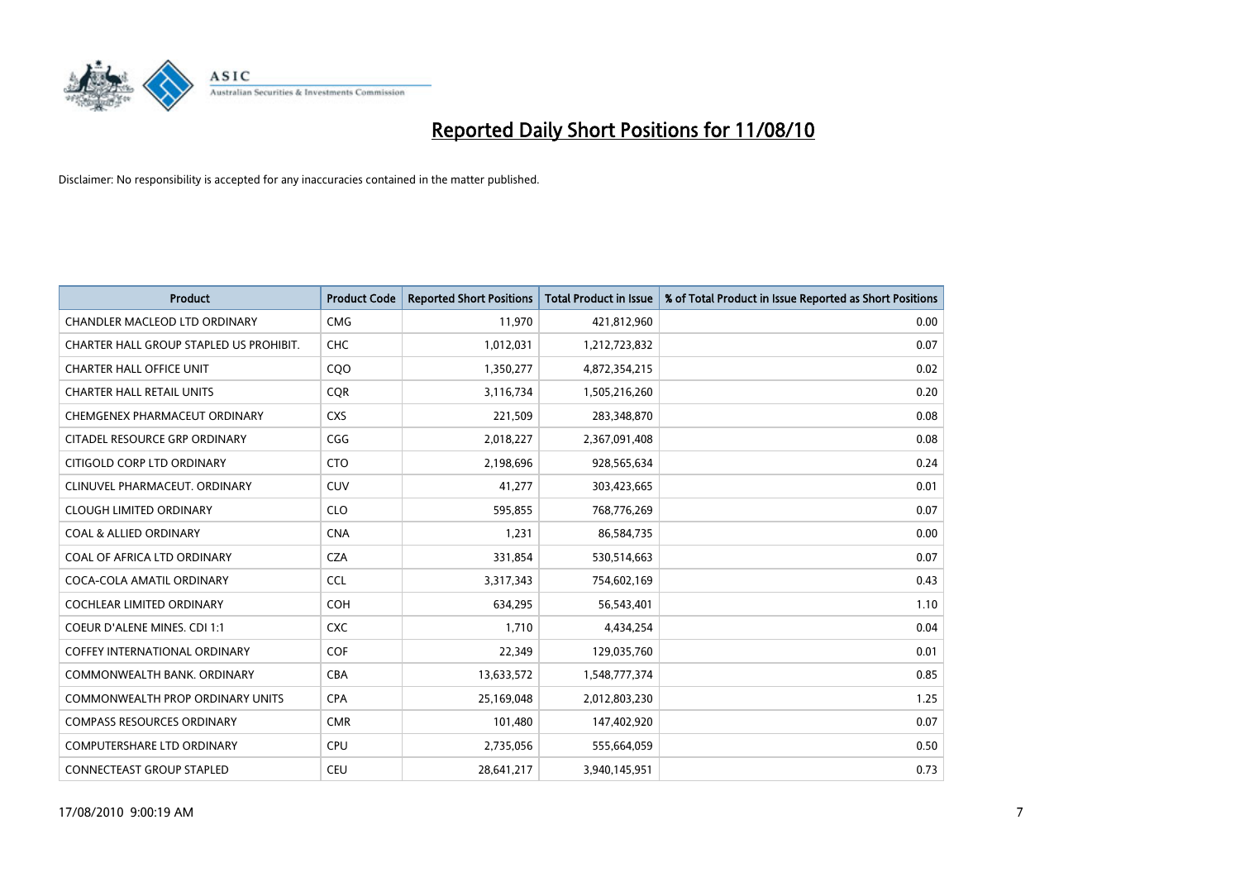

| <b>Product</b>                          | <b>Product Code</b> | <b>Reported Short Positions</b> | <b>Total Product in Issue</b> | % of Total Product in Issue Reported as Short Positions |
|-----------------------------------------|---------------------|---------------------------------|-------------------------------|---------------------------------------------------------|
| <b>CHANDLER MACLEOD LTD ORDINARY</b>    | <b>CMG</b>          | 11,970                          | 421,812,960                   | 0.00                                                    |
| CHARTER HALL GROUP STAPLED US PROHIBIT. | CHC                 | 1,012,031                       | 1,212,723,832                 | 0.07                                                    |
| <b>CHARTER HALL OFFICE UNIT</b>         | C <sub>O</sub> O    | 1,350,277                       | 4,872,354,215                 | 0.02                                                    |
| <b>CHARTER HALL RETAIL UNITS</b>        | <b>CQR</b>          | 3,116,734                       | 1,505,216,260                 | 0.20                                                    |
| CHEMGENEX PHARMACEUT ORDINARY           | <b>CXS</b>          | 221,509                         | 283,348,870                   | 0.08                                                    |
| CITADEL RESOURCE GRP ORDINARY           | CGG                 | 2,018,227                       | 2,367,091,408                 | 0.08                                                    |
| CITIGOLD CORP LTD ORDINARY              | <b>CTO</b>          | 2,198,696                       | 928,565,634                   | 0.24                                                    |
| CLINUVEL PHARMACEUT, ORDINARY           | <b>CUV</b>          | 41,277                          | 303,423,665                   | 0.01                                                    |
| <b>CLOUGH LIMITED ORDINARY</b>          | <b>CLO</b>          | 595,855                         | 768,776,269                   | 0.07                                                    |
| <b>COAL &amp; ALLIED ORDINARY</b>       | <b>CNA</b>          | 1,231                           | 86,584,735                    | 0.00                                                    |
| COAL OF AFRICA LTD ORDINARY             | <b>CZA</b>          | 331,854                         | 530,514,663                   | 0.07                                                    |
| COCA-COLA AMATIL ORDINARY               | <b>CCL</b>          | 3,317,343                       | 754,602,169                   | 0.43                                                    |
| COCHLEAR LIMITED ORDINARY               | <b>COH</b>          | 634,295                         | 56,543,401                    | 1.10                                                    |
| <b>COEUR D'ALENE MINES. CDI 1:1</b>     | <b>CXC</b>          | 1,710                           | 4,434,254                     | 0.04                                                    |
| <b>COFFEY INTERNATIONAL ORDINARY</b>    | COF                 | 22,349                          | 129,035,760                   | 0.01                                                    |
| COMMONWEALTH BANK, ORDINARY             | <b>CBA</b>          | 13,633,572                      | 1,548,777,374                 | 0.85                                                    |
| COMMONWEALTH PROP ORDINARY UNITS        | <b>CPA</b>          | 25,169,048                      | 2,012,803,230                 | 1.25                                                    |
| <b>COMPASS RESOURCES ORDINARY</b>       | <b>CMR</b>          | 101,480                         | 147,402,920                   | 0.07                                                    |
| <b>COMPUTERSHARE LTD ORDINARY</b>       | <b>CPU</b>          | 2,735,056                       | 555,664,059                   | 0.50                                                    |
| CONNECTEAST GROUP STAPLED               | CEU                 | 28,641,217                      | 3,940,145,951                 | 0.73                                                    |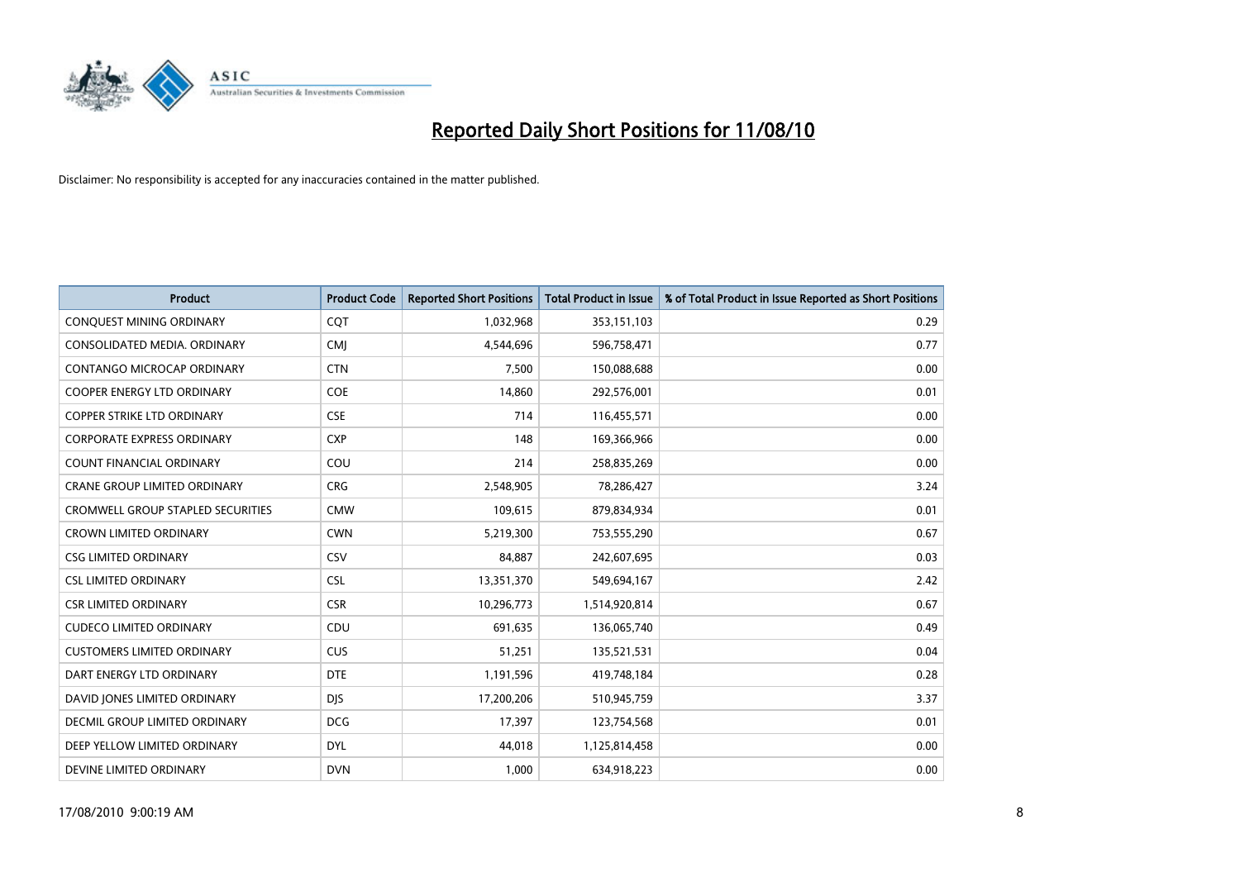

| <b>Product</b>                    | <b>Product Code</b> | <b>Reported Short Positions</b> | <b>Total Product in Issue</b> | % of Total Product in Issue Reported as Short Positions |
|-----------------------------------|---------------------|---------------------------------|-------------------------------|---------------------------------------------------------|
| <b>CONQUEST MINING ORDINARY</b>   | <b>CQT</b>          | 1,032,968                       | 353,151,103                   | 0.29                                                    |
| CONSOLIDATED MEDIA. ORDINARY      | <b>CMI</b>          | 4,544,696                       | 596,758,471                   | 0.77                                                    |
| <b>CONTANGO MICROCAP ORDINARY</b> | <b>CTN</b>          | 7,500                           | 150,088,688                   | 0.00                                                    |
| COOPER ENERGY LTD ORDINARY        | <b>COE</b>          | 14,860                          | 292,576,001                   | 0.01                                                    |
| <b>COPPER STRIKE LTD ORDINARY</b> | <b>CSE</b>          | 714                             | 116,455,571                   | 0.00                                                    |
| <b>CORPORATE EXPRESS ORDINARY</b> | <b>CXP</b>          | 148                             | 169,366,966                   | 0.00                                                    |
| <b>COUNT FINANCIAL ORDINARY</b>   | COU                 | 214                             | 258,835,269                   | 0.00                                                    |
| CRANE GROUP LIMITED ORDINARY      | <b>CRG</b>          | 2,548,905                       | 78,286,427                    | 3.24                                                    |
| CROMWELL GROUP STAPLED SECURITIES | <b>CMW</b>          | 109,615                         | 879,834,934                   | 0.01                                                    |
| <b>CROWN LIMITED ORDINARY</b>     | <b>CWN</b>          | 5,219,300                       | 753,555,290                   | 0.67                                                    |
| <b>CSG LIMITED ORDINARY</b>       | CSV                 | 84,887                          | 242,607,695                   | 0.03                                                    |
| <b>CSL LIMITED ORDINARY</b>       | <b>CSL</b>          | 13,351,370                      | 549,694,167                   | 2.42                                                    |
| <b>CSR LIMITED ORDINARY</b>       | <b>CSR</b>          | 10,296,773                      | 1,514,920,814                 | 0.67                                                    |
| <b>CUDECO LIMITED ORDINARY</b>    | CDU                 | 691,635                         | 136,065,740                   | 0.49                                                    |
| <b>CUSTOMERS LIMITED ORDINARY</b> | CUS                 | 51,251                          | 135,521,531                   | 0.04                                                    |
| DART ENERGY LTD ORDINARY          | <b>DTE</b>          | 1,191,596                       | 419,748,184                   | 0.28                                                    |
| DAVID JONES LIMITED ORDINARY      | <b>DJS</b>          | 17,200,206                      | 510,945,759                   | 3.37                                                    |
| DECMIL GROUP LIMITED ORDINARY     | <b>DCG</b>          | 17,397                          | 123,754,568                   | 0.01                                                    |
| DEEP YELLOW LIMITED ORDINARY      | <b>DYL</b>          | 44,018                          | 1,125,814,458                 | 0.00                                                    |
| DEVINE LIMITED ORDINARY           | <b>DVN</b>          | 1,000                           | 634,918,223                   | 0.00                                                    |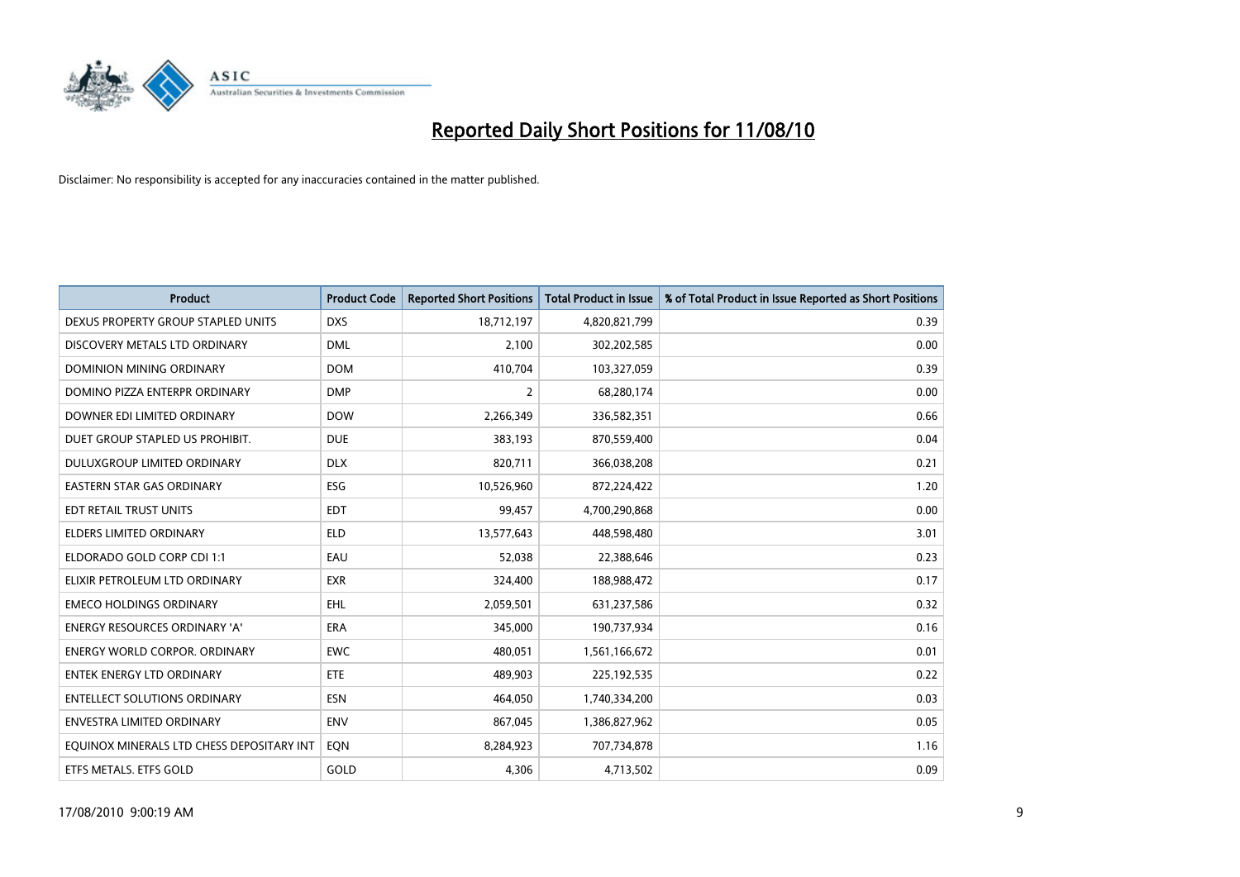

| <b>Product</b>                            | <b>Product Code</b> | <b>Reported Short Positions</b> | <b>Total Product in Issue</b> | % of Total Product in Issue Reported as Short Positions |
|-------------------------------------------|---------------------|---------------------------------|-------------------------------|---------------------------------------------------------|
| DEXUS PROPERTY GROUP STAPLED UNITS        | <b>DXS</b>          | 18,712,197                      | 4,820,821,799                 | 0.39                                                    |
| DISCOVERY METALS LTD ORDINARY             | <b>DML</b>          | 2,100                           | 302,202,585                   | 0.00                                                    |
| <b>DOMINION MINING ORDINARY</b>           | <b>DOM</b>          | 410,704                         | 103,327,059                   | 0.39                                                    |
| DOMINO PIZZA ENTERPR ORDINARY             | <b>DMP</b>          | 2                               | 68,280,174                    | 0.00                                                    |
| DOWNER EDI LIMITED ORDINARY               | <b>DOW</b>          | 2,266,349                       | 336,582,351                   | 0.66                                                    |
| DUET GROUP STAPLED US PROHIBIT.           | <b>DUE</b>          | 383,193                         | 870,559,400                   | 0.04                                                    |
| DULUXGROUP LIMITED ORDINARY               | <b>DLX</b>          | 820,711                         | 366,038,208                   | 0.21                                                    |
| <b>EASTERN STAR GAS ORDINARY</b>          | ESG                 | 10,526,960                      | 872,224,422                   | 1.20                                                    |
| EDT RETAIL TRUST UNITS                    | <b>EDT</b>          | 99,457                          | 4,700,290,868                 | 0.00                                                    |
| <b>ELDERS LIMITED ORDINARY</b>            | <b>ELD</b>          | 13,577,643                      | 448,598,480                   | 3.01                                                    |
| ELDORADO GOLD CORP CDI 1:1                | EAU                 | 52,038                          | 22,388,646                    | 0.23                                                    |
| ELIXIR PETROLEUM LTD ORDINARY             | <b>EXR</b>          | 324,400                         | 188,988,472                   | 0.17                                                    |
| <b>EMECO HOLDINGS ORDINARY</b>            | <b>EHL</b>          | 2,059,501                       | 631,237,586                   | 0.32                                                    |
| <b>ENERGY RESOURCES ORDINARY 'A'</b>      | <b>ERA</b>          | 345,000                         | 190,737,934                   | 0.16                                                    |
| <b>ENERGY WORLD CORPOR, ORDINARY</b>      | <b>EWC</b>          | 480,051                         | 1,561,166,672                 | 0.01                                                    |
| ENTEK ENERGY LTD ORDINARY                 | <b>ETE</b>          | 489,903                         | 225,192,535                   | 0.22                                                    |
| <b>ENTELLECT SOLUTIONS ORDINARY</b>       | <b>ESN</b>          | 464,050                         | 1,740,334,200                 | 0.03                                                    |
| <b>ENVESTRA LIMITED ORDINARY</b>          | <b>ENV</b>          | 867,045                         | 1,386,827,962                 | 0.05                                                    |
| EQUINOX MINERALS LTD CHESS DEPOSITARY INT | EON                 | 8,284,923                       | 707,734,878                   | 1.16                                                    |
| ETFS METALS. ETFS GOLD                    | GOLD                | 4.306                           | 4,713,502                     | 0.09                                                    |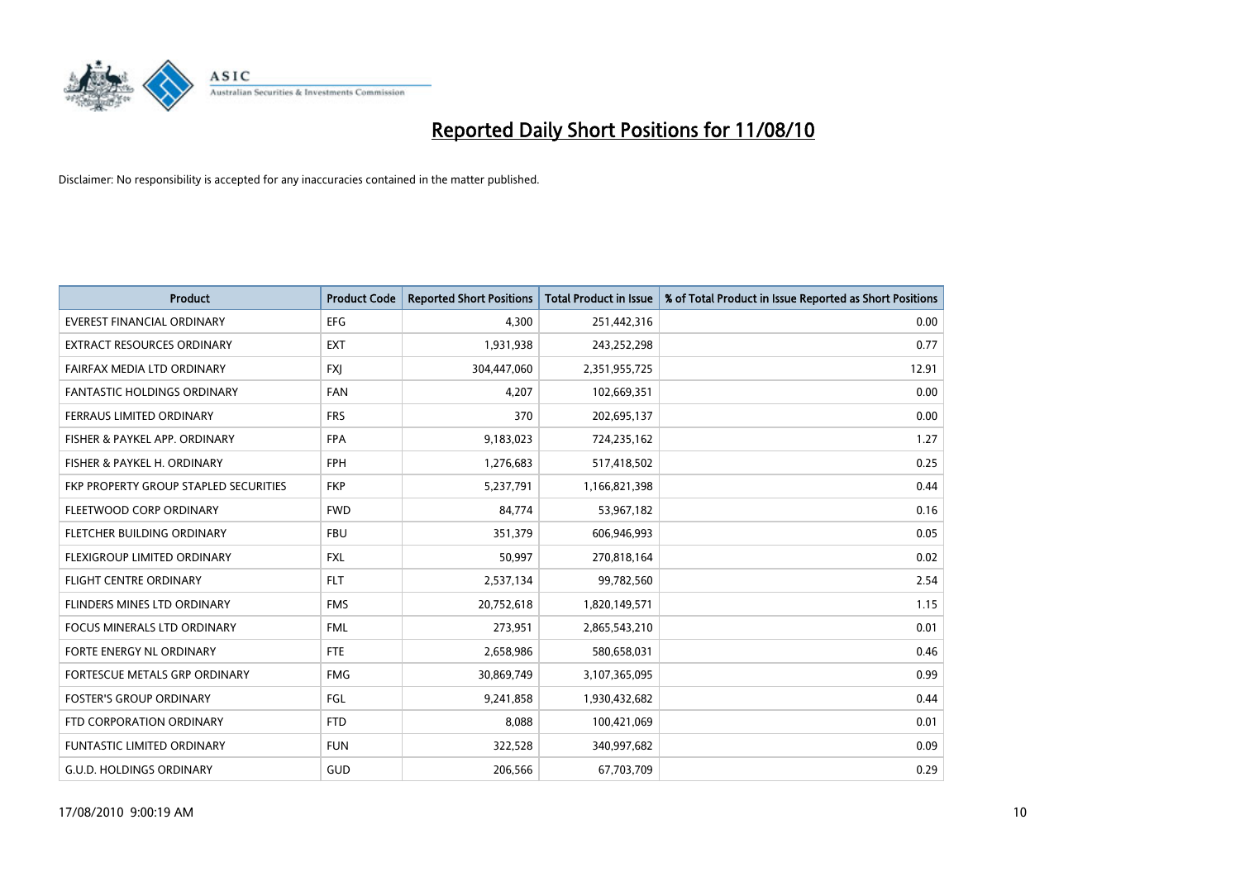

| <b>Product</b>                        | <b>Product Code</b> | <b>Reported Short Positions</b> | <b>Total Product in Issue</b> | % of Total Product in Issue Reported as Short Positions |
|---------------------------------------|---------------------|---------------------------------|-------------------------------|---------------------------------------------------------|
| <b>EVEREST FINANCIAL ORDINARY</b>     | EFG                 | 4,300                           | 251,442,316                   | 0.00                                                    |
| <b>EXTRACT RESOURCES ORDINARY</b>     | <b>EXT</b>          | 1,931,938                       | 243,252,298                   | 0.77                                                    |
| FAIRFAX MEDIA LTD ORDINARY            | <b>FXJ</b>          | 304,447,060                     | 2,351,955,725                 | 12.91                                                   |
| FANTASTIC HOLDINGS ORDINARY           | <b>FAN</b>          | 4,207                           | 102,669,351                   | 0.00                                                    |
| FERRAUS LIMITED ORDINARY              | <b>FRS</b>          | 370                             | 202,695,137                   | 0.00                                                    |
| FISHER & PAYKEL APP. ORDINARY         | <b>FPA</b>          | 9,183,023                       | 724,235,162                   | 1.27                                                    |
| FISHER & PAYKEL H. ORDINARY           | <b>FPH</b>          | 1,276,683                       | 517,418,502                   | 0.25                                                    |
| FKP PROPERTY GROUP STAPLED SECURITIES | <b>FKP</b>          | 5,237,791                       | 1,166,821,398                 | 0.44                                                    |
| FLEETWOOD CORP ORDINARY               | <b>FWD</b>          | 84,774                          | 53,967,182                    | 0.16                                                    |
| FLETCHER BUILDING ORDINARY            | <b>FBU</b>          | 351,379                         | 606,946,993                   | 0.05                                                    |
| FLEXIGROUP LIMITED ORDINARY           | <b>FXL</b>          | 50,997                          | 270,818,164                   | 0.02                                                    |
| <b>FLIGHT CENTRE ORDINARY</b>         | <b>FLT</b>          | 2,537,134                       | 99,782,560                    | 2.54                                                    |
| FLINDERS MINES LTD ORDINARY           | <b>FMS</b>          | 20,752,618                      | 1,820,149,571                 | 1.15                                                    |
| <b>FOCUS MINERALS LTD ORDINARY</b>    | <b>FML</b>          | 273,951                         | 2,865,543,210                 | 0.01                                                    |
| FORTE ENERGY NL ORDINARY              | <b>FTE</b>          | 2,658,986                       | 580,658,031                   | 0.46                                                    |
| FORTESCUE METALS GRP ORDINARY         | <b>FMG</b>          | 30,869,749                      | 3,107,365,095                 | 0.99                                                    |
| <b>FOSTER'S GROUP ORDINARY</b>        | FGL                 | 9,241,858                       | 1,930,432,682                 | 0.44                                                    |
| FTD CORPORATION ORDINARY              | <b>FTD</b>          | 8,088                           | 100,421,069                   | 0.01                                                    |
| <b>FUNTASTIC LIMITED ORDINARY</b>     | <b>FUN</b>          | 322,528                         | 340,997,682                   | 0.09                                                    |
| <b>G.U.D. HOLDINGS ORDINARY</b>       | <b>GUD</b>          | 206,566                         | 67,703,709                    | 0.29                                                    |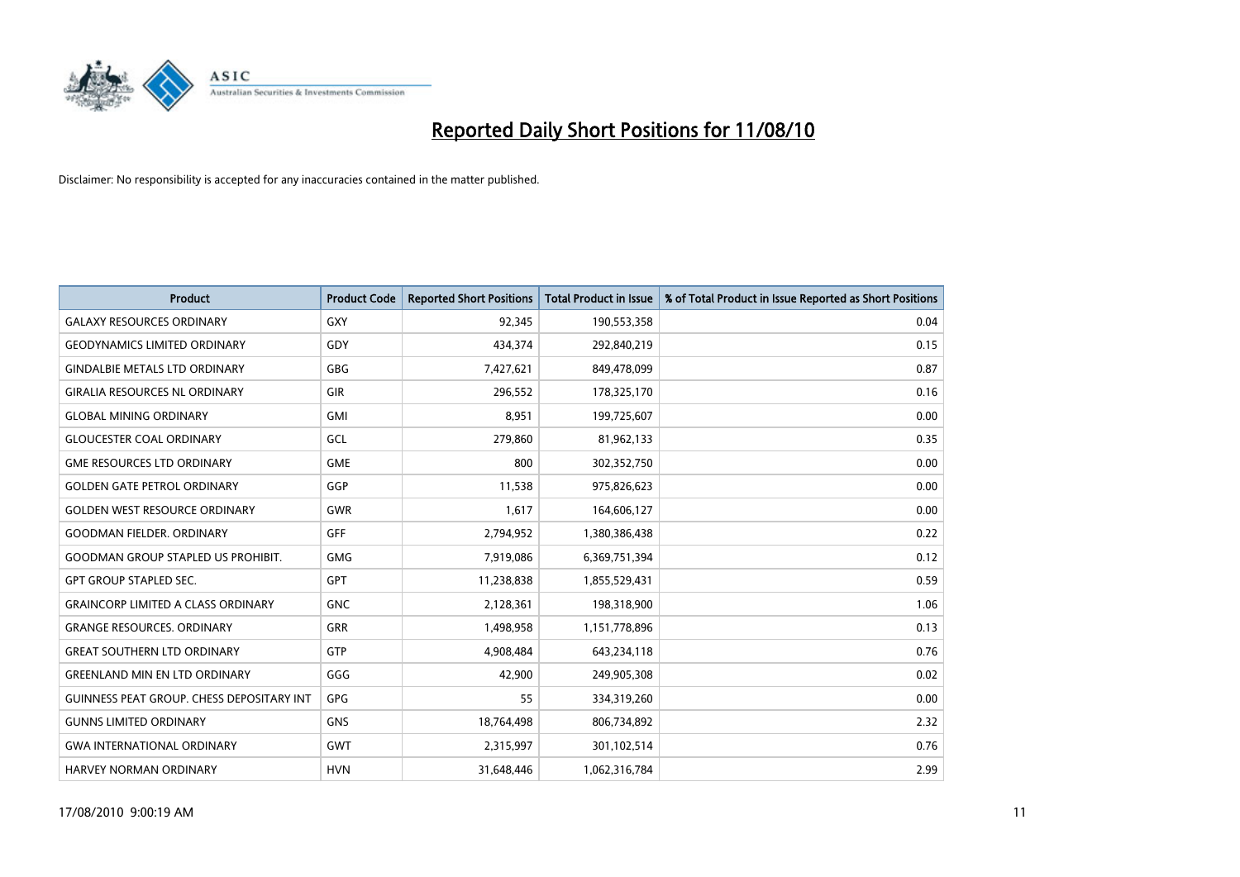

| <b>Product</b>                                   | <b>Product Code</b> | <b>Reported Short Positions</b> | <b>Total Product in Issue</b> | % of Total Product in Issue Reported as Short Positions |
|--------------------------------------------------|---------------------|---------------------------------|-------------------------------|---------------------------------------------------------|
| <b>GALAXY RESOURCES ORDINARY</b>                 | GXY                 | 92,345                          | 190,553,358                   | 0.04                                                    |
| <b>GEODYNAMICS LIMITED ORDINARY</b>              | GDY                 | 434.374                         | 292,840,219                   | 0.15                                                    |
| <b>GINDALBIE METALS LTD ORDINARY</b>             | GBG                 | 7,427,621                       | 849,478,099                   | 0.87                                                    |
| <b>GIRALIA RESOURCES NL ORDINARY</b>             | <b>GIR</b>          | 296,552                         | 178,325,170                   | 0.16                                                    |
| <b>GLOBAL MINING ORDINARY</b>                    | <b>GMI</b>          | 8,951                           | 199,725,607                   | 0.00                                                    |
| <b>GLOUCESTER COAL ORDINARY</b>                  | GCL                 | 279,860                         | 81,962,133                    | 0.35                                                    |
| <b>GME RESOURCES LTD ORDINARY</b>                | <b>GME</b>          | 800                             | 302,352,750                   | 0.00                                                    |
| <b>GOLDEN GATE PETROL ORDINARY</b>               | GGP                 | 11,538                          | 975,826,623                   | 0.00                                                    |
| <b>GOLDEN WEST RESOURCE ORDINARY</b>             | <b>GWR</b>          | 1,617                           | 164,606,127                   | 0.00                                                    |
| <b>GOODMAN FIELDER, ORDINARY</b>                 | <b>GFF</b>          | 2,794,952                       | 1,380,386,438                 | 0.22                                                    |
| <b>GOODMAN GROUP STAPLED US PROHIBIT.</b>        | <b>GMG</b>          | 7,919,086                       | 6,369,751,394                 | 0.12                                                    |
| <b>GPT GROUP STAPLED SEC.</b>                    | <b>GPT</b>          | 11,238,838                      | 1,855,529,431                 | 0.59                                                    |
| <b>GRAINCORP LIMITED A CLASS ORDINARY</b>        | <b>GNC</b>          | 2,128,361                       | 198,318,900                   | 1.06                                                    |
| <b>GRANGE RESOURCES, ORDINARY</b>                | <b>GRR</b>          | 1,498,958                       | 1,151,778,896                 | 0.13                                                    |
| <b>GREAT SOUTHERN LTD ORDINARY</b>               | <b>GTP</b>          | 4,908,484                       | 643,234,118                   | 0.76                                                    |
| <b>GREENLAND MIN EN LTD ORDINARY</b>             | GGG                 | 42,900                          | 249,905,308                   | 0.02                                                    |
| <b>GUINNESS PEAT GROUP. CHESS DEPOSITARY INT</b> | GPG                 | 55                              | 334,319,260                   | 0.00                                                    |
| <b>GUNNS LIMITED ORDINARY</b>                    | <b>GNS</b>          | 18,764,498                      | 806,734,892                   | 2.32                                                    |
| <b>GWA INTERNATIONAL ORDINARY</b>                | <b>GWT</b>          | 2,315,997                       | 301,102,514                   | 0.76                                                    |
| <b>HARVEY NORMAN ORDINARY</b>                    | <b>HVN</b>          | 31.648.446                      | 1,062,316,784                 | 2.99                                                    |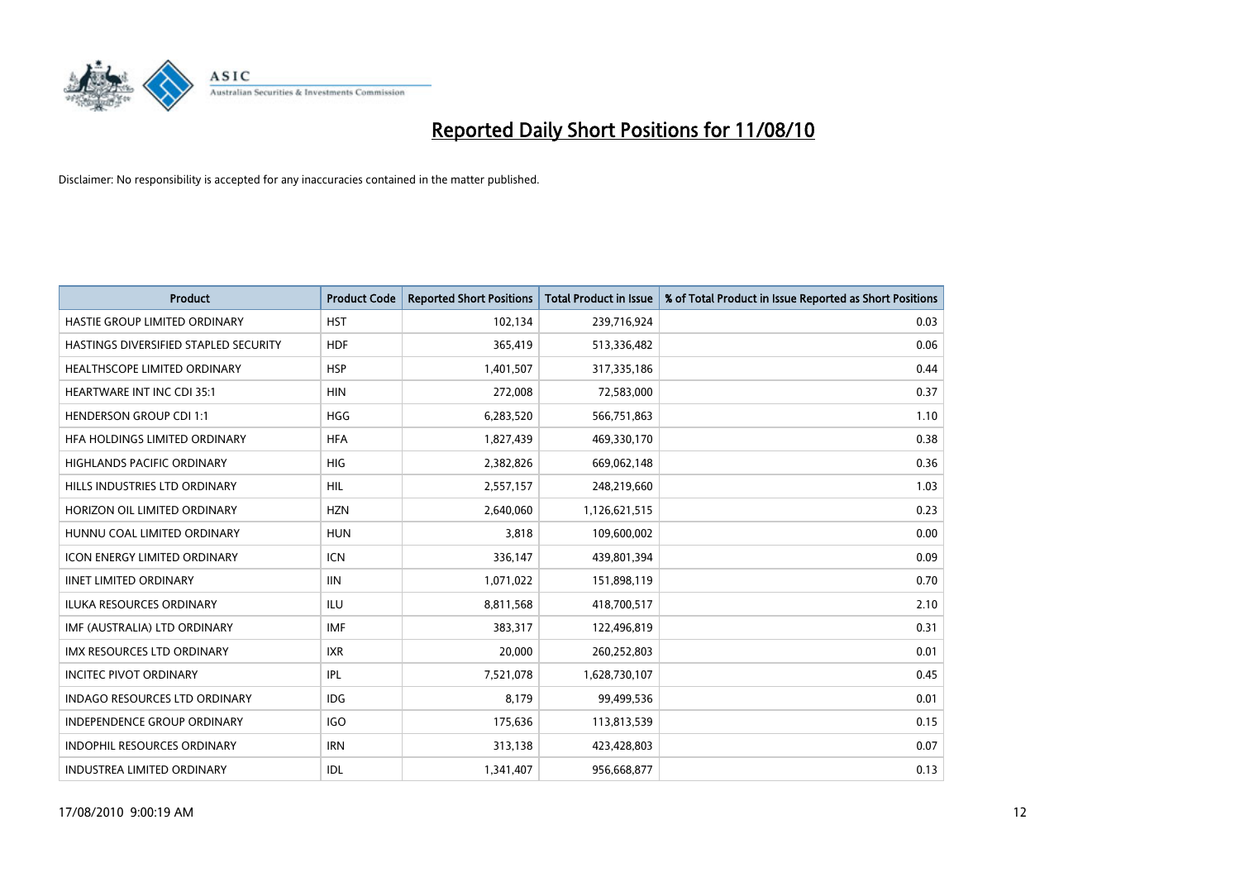

| <b>Product</b>                        | <b>Product Code</b> | <b>Reported Short Positions</b> | <b>Total Product in Issue</b> | % of Total Product in Issue Reported as Short Positions |
|---------------------------------------|---------------------|---------------------------------|-------------------------------|---------------------------------------------------------|
| HASTIE GROUP LIMITED ORDINARY         | <b>HST</b>          | 102,134                         | 239,716,924                   | 0.03                                                    |
| HASTINGS DIVERSIFIED STAPLED SECURITY | <b>HDF</b>          | 365,419                         | 513,336,482                   | 0.06                                                    |
| <b>HEALTHSCOPE LIMITED ORDINARY</b>   | <b>HSP</b>          | 1,401,507                       | 317,335,186                   | 0.44                                                    |
| <b>HEARTWARE INT INC CDI 35:1</b>     | <b>HIN</b>          | 272,008                         | 72,583,000                    | 0.37                                                    |
| <b>HENDERSON GROUP CDI 1:1</b>        | <b>HGG</b>          | 6,283,520                       | 566,751,863                   | 1.10                                                    |
| HFA HOLDINGS LIMITED ORDINARY         | <b>HFA</b>          | 1,827,439                       | 469,330,170                   | 0.38                                                    |
| <b>HIGHLANDS PACIFIC ORDINARY</b>     | HIG                 | 2,382,826                       | 669,062,148                   | 0.36                                                    |
| HILLS INDUSTRIES LTD ORDINARY         | <b>HIL</b>          | 2,557,157                       | 248,219,660                   | 1.03                                                    |
| HORIZON OIL LIMITED ORDINARY          | <b>HZN</b>          | 2,640,060                       | 1,126,621,515                 | 0.23                                                    |
| HUNNU COAL LIMITED ORDINARY           | <b>HUN</b>          | 3,818                           | 109,600,002                   | 0.00                                                    |
| <b>ICON ENERGY LIMITED ORDINARY</b>   | <b>ICN</b>          | 336,147                         | 439,801,394                   | 0.09                                                    |
| <b>IINET LIMITED ORDINARY</b>         | <b>IIN</b>          | 1,071,022                       | 151,898,119                   | 0.70                                                    |
| <b>ILUKA RESOURCES ORDINARY</b>       | <b>ILU</b>          | 8,811,568                       | 418,700,517                   | 2.10                                                    |
| IMF (AUSTRALIA) LTD ORDINARY          | <b>IMF</b>          | 383,317                         | 122,496,819                   | 0.31                                                    |
| <b>IMX RESOURCES LTD ORDINARY</b>     | <b>IXR</b>          | 20,000                          | 260,252,803                   | 0.01                                                    |
| <b>INCITEC PIVOT ORDINARY</b>         | IPL                 | 7,521,078                       | 1,628,730,107                 | 0.45                                                    |
| <b>INDAGO RESOURCES LTD ORDINARY</b>  | <b>IDG</b>          | 8,179                           | 99,499,536                    | 0.01                                                    |
| INDEPENDENCE GROUP ORDINARY           | <b>IGO</b>          | 175,636                         | 113,813,539                   | 0.15                                                    |
| <b>INDOPHIL RESOURCES ORDINARY</b>    | <b>IRN</b>          | 313,138                         | 423,428,803                   | 0.07                                                    |
| INDUSTREA LIMITED ORDINARY            | IDL                 | 1,341,407                       | 956,668,877                   | 0.13                                                    |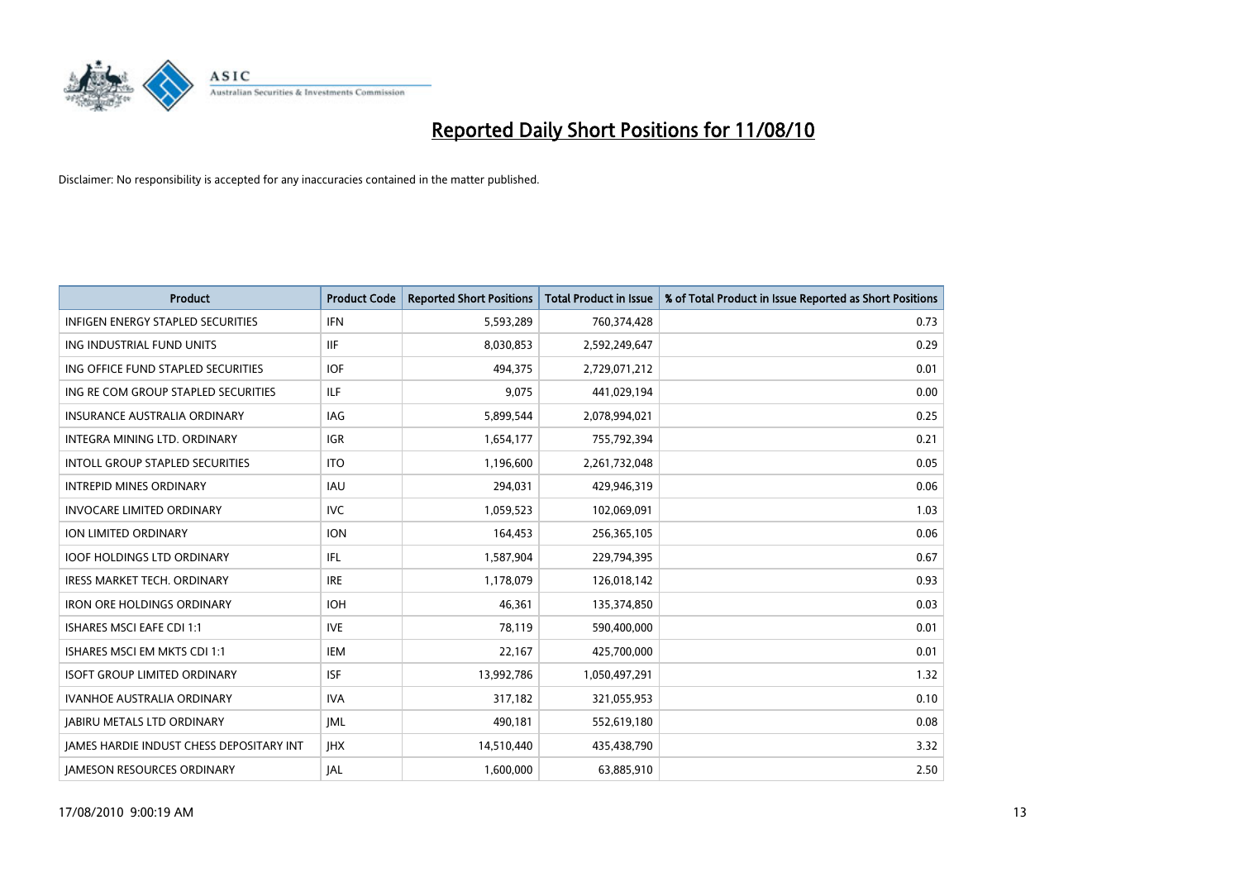

| <b>Product</b>                                  | <b>Product Code</b> | <b>Reported Short Positions</b> | <b>Total Product in Issue</b> | % of Total Product in Issue Reported as Short Positions |
|-------------------------------------------------|---------------------|---------------------------------|-------------------------------|---------------------------------------------------------|
| <b>INFIGEN ENERGY STAPLED SECURITIES</b>        | <b>IFN</b>          | 5,593,289                       | 760,374,428                   | 0.73                                                    |
| ING INDUSTRIAL FUND UNITS                       | <b>IIF</b>          | 8,030,853                       | 2,592,249,647                 | 0.29                                                    |
| ING OFFICE FUND STAPLED SECURITIES              | <b>IOF</b>          | 494,375                         | 2,729,071,212                 | 0.01                                                    |
| ING RE COM GROUP STAPLED SECURITIES             | <b>ILF</b>          | 9,075                           | 441,029,194                   | 0.00                                                    |
| <b>INSURANCE AUSTRALIA ORDINARY</b>             | IAG                 | 5,899,544                       | 2,078,994,021                 | 0.25                                                    |
| INTEGRA MINING LTD, ORDINARY                    | <b>IGR</b>          | 1,654,177                       | 755,792,394                   | 0.21                                                    |
| <b>INTOLL GROUP STAPLED SECURITIES</b>          | <b>ITO</b>          | 1,196,600                       | 2,261,732,048                 | 0.05                                                    |
| <b>INTREPID MINES ORDINARY</b>                  | <b>IAU</b>          | 294,031                         | 429,946,319                   | 0.06                                                    |
| <b>INVOCARE LIMITED ORDINARY</b>                | <b>IVC</b>          | 1,059,523                       | 102,069,091                   | 1.03                                                    |
| ION LIMITED ORDINARY                            | <b>ION</b>          | 164,453                         | 256,365,105                   | 0.06                                                    |
| <b>IOOF HOLDINGS LTD ORDINARY</b>               | IFL.                | 1,587,904                       | 229,794,395                   | 0.67                                                    |
| <b>IRESS MARKET TECH. ORDINARY</b>              | <b>IRE</b>          | 1,178,079                       | 126,018,142                   | 0.93                                                    |
| <b>IRON ORE HOLDINGS ORDINARY</b>               | <b>IOH</b>          | 46.361                          | 135,374,850                   | 0.03                                                    |
| <b>ISHARES MSCI EAFE CDI 1:1</b>                | <b>IVE</b>          | 78,119                          | 590,400,000                   | 0.01                                                    |
| ISHARES MSCI EM MKTS CDI 1:1                    | <b>IEM</b>          | 22,167                          | 425,700,000                   | 0.01                                                    |
| <b>ISOFT GROUP LIMITED ORDINARY</b>             | <b>ISF</b>          | 13,992,786                      | 1,050,497,291                 | 1.32                                                    |
| <b>IVANHOE AUSTRALIA ORDINARY</b>               | <b>IVA</b>          | 317,182                         | 321,055,953                   | 0.10                                                    |
| <b>JABIRU METALS LTD ORDINARY</b>               | <b>IML</b>          | 490,181                         | 552,619,180                   | 0.08                                                    |
| <b>IAMES HARDIE INDUST CHESS DEPOSITARY INT</b> | <b>IHX</b>          | 14,510,440                      | 435,438,790                   | 3.32                                                    |
| <b>IAMESON RESOURCES ORDINARY</b>               | <b>JAL</b>          | 1,600,000                       | 63,885,910                    | 2.50                                                    |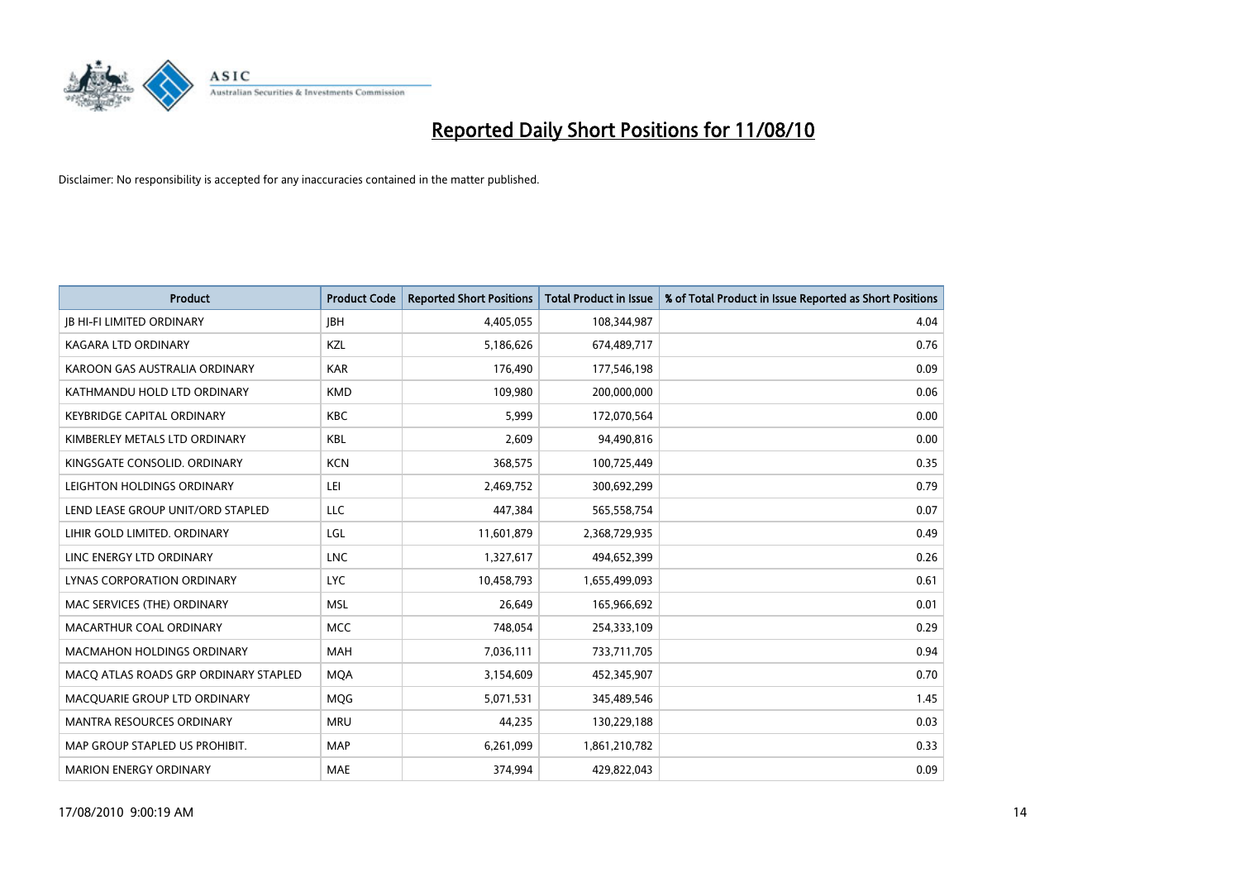

| <b>Product</b>                        | <b>Product Code</b> | <b>Reported Short Positions</b> | <b>Total Product in Issue</b> | % of Total Product in Issue Reported as Short Positions |
|---------------------------------------|---------------------|---------------------------------|-------------------------------|---------------------------------------------------------|
| <b>JB HI-FI LIMITED ORDINARY</b>      | <b>IBH</b>          | 4,405,055                       | 108,344,987                   | 4.04                                                    |
| KAGARA LTD ORDINARY                   | KZL                 | 5,186,626                       | 674,489,717                   | 0.76                                                    |
| KAROON GAS AUSTRALIA ORDINARY         | <b>KAR</b>          | 176,490                         | 177,546,198                   | 0.09                                                    |
| KATHMANDU HOLD LTD ORDINARY           | <b>KMD</b>          | 109,980                         | 200,000,000                   | 0.06                                                    |
| <b>KEYBRIDGE CAPITAL ORDINARY</b>     | <b>KBC</b>          | 5,999                           | 172,070,564                   | 0.00                                                    |
| KIMBERLEY METALS LTD ORDINARY         | <b>KBL</b>          | 2,609                           | 94,490,816                    | 0.00                                                    |
| KINGSGATE CONSOLID. ORDINARY          | <b>KCN</b>          | 368,575                         | 100,725,449                   | 0.35                                                    |
| LEIGHTON HOLDINGS ORDINARY            | LEI                 | 2,469,752                       | 300,692,299                   | 0.79                                                    |
| LEND LEASE GROUP UNIT/ORD STAPLED     | LLC                 | 447,384                         | 565,558,754                   | 0.07                                                    |
| LIHIR GOLD LIMITED. ORDINARY          | LGL                 | 11,601,879                      | 2,368,729,935                 | 0.49                                                    |
| LINC ENERGY LTD ORDINARY              | <b>LNC</b>          | 1,327,617                       | 494,652,399                   | 0.26                                                    |
| LYNAS CORPORATION ORDINARY            | <b>LYC</b>          | 10,458,793                      | 1,655,499,093                 | 0.61                                                    |
| MAC SERVICES (THE) ORDINARY           | <b>MSL</b>          | 26,649                          | 165,966,692                   | 0.01                                                    |
| MACARTHUR COAL ORDINARY               | <b>MCC</b>          | 748,054                         | 254,333,109                   | 0.29                                                    |
| <b>MACMAHON HOLDINGS ORDINARY</b>     | <b>MAH</b>          | 7,036,111                       | 733,711,705                   | 0.94                                                    |
| MACO ATLAS ROADS GRP ORDINARY STAPLED | <b>MOA</b>          | 3,154,609                       | 452,345,907                   | 0.70                                                    |
| MACQUARIE GROUP LTD ORDINARY          | <b>MQG</b>          | 5,071,531                       | 345,489,546                   | 1.45                                                    |
| <b>MANTRA RESOURCES ORDINARY</b>      | <b>MRU</b>          | 44,235                          | 130,229,188                   | 0.03                                                    |
| MAP GROUP STAPLED US PROHIBIT.        | <b>MAP</b>          | 6,261,099                       | 1,861,210,782                 | 0.33                                                    |
| <b>MARION ENERGY ORDINARY</b>         | <b>MAE</b>          | 374,994                         | 429,822,043                   | 0.09                                                    |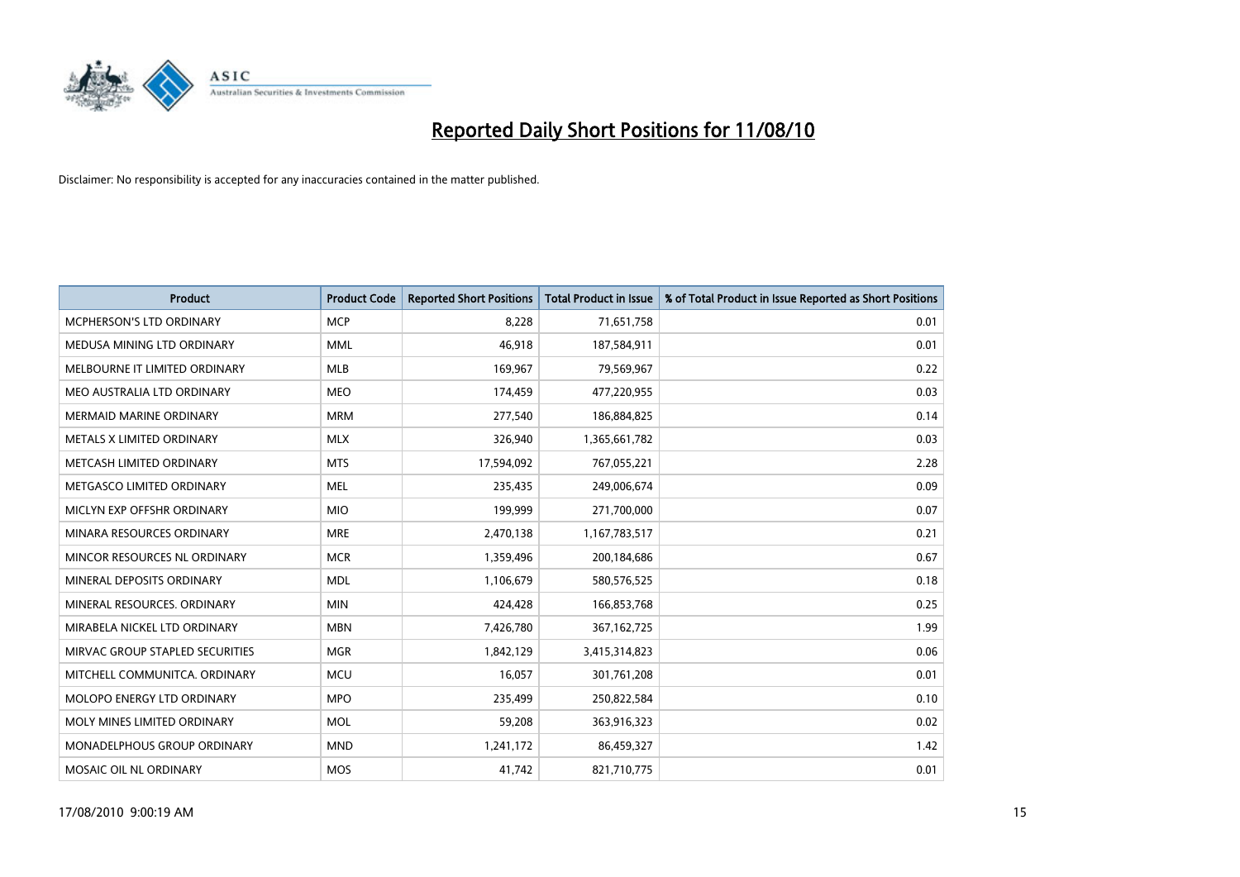

| <b>Product</b>                  | <b>Product Code</b> | <b>Reported Short Positions</b> | <b>Total Product in Issue</b> | % of Total Product in Issue Reported as Short Positions |
|---------------------------------|---------------------|---------------------------------|-------------------------------|---------------------------------------------------------|
| <b>MCPHERSON'S LTD ORDINARY</b> | <b>MCP</b>          | 8,228                           | 71,651,758                    | 0.01                                                    |
| MEDUSA MINING LTD ORDINARY      | <b>MML</b>          | 46,918                          | 187,584,911                   | 0.01                                                    |
| MELBOURNE IT LIMITED ORDINARY   | <b>MLB</b>          | 169,967                         | 79,569,967                    | 0.22                                                    |
| MEO AUSTRALIA LTD ORDINARY      | <b>MEO</b>          | 174,459                         | 477,220,955                   | 0.03                                                    |
| <b>MERMAID MARINE ORDINARY</b>  | <b>MRM</b>          | 277,540                         | 186,884,825                   | 0.14                                                    |
| METALS X LIMITED ORDINARY       | <b>MLX</b>          | 326,940                         | 1,365,661,782                 | 0.03                                                    |
| METCASH LIMITED ORDINARY        | <b>MTS</b>          | 17,594,092                      | 767,055,221                   | 2.28                                                    |
| METGASCO LIMITED ORDINARY       | <b>MEL</b>          | 235,435                         | 249,006,674                   | 0.09                                                    |
| MICLYN EXP OFFSHR ORDINARY      | <b>MIO</b>          | 199,999                         | 271,700,000                   | 0.07                                                    |
| MINARA RESOURCES ORDINARY       | <b>MRE</b>          | 2,470,138                       | 1,167,783,517                 | 0.21                                                    |
| MINCOR RESOURCES NL ORDINARY    | <b>MCR</b>          | 1,359,496                       | 200,184,686                   | 0.67                                                    |
| MINERAL DEPOSITS ORDINARY       | <b>MDL</b>          | 1,106,679                       | 580,576,525                   | 0.18                                                    |
| MINERAL RESOURCES. ORDINARY     | <b>MIN</b>          | 424,428                         | 166,853,768                   | 0.25                                                    |
| MIRABELA NICKEL LTD ORDINARY    | <b>MBN</b>          | 7,426,780                       | 367, 162, 725                 | 1.99                                                    |
| MIRVAC GROUP STAPLED SECURITIES | <b>MGR</b>          | 1,842,129                       | 3,415,314,823                 | 0.06                                                    |
| MITCHELL COMMUNITCA. ORDINARY   | <b>MCU</b>          | 16,057                          | 301,761,208                   | 0.01                                                    |
| MOLOPO ENERGY LTD ORDINARY      | <b>MPO</b>          | 235,499                         | 250,822,584                   | 0.10                                                    |
| MOLY MINES LIMITED ORDINARY     | <b>MOL</b>          | 59,208                          | 363,916,323                   | 0.02                                                    |
| MONADELPHOUS GROUP ORDINARY     | <b>MND</b>          | 1,241,172                       | 86,459,327                    | 1.42                                                    |
| MOSAIC OIL NL ORDINARY          | <b>MOS</b>          | 41,742                          | 821,710,775                   | 0.01                                                    |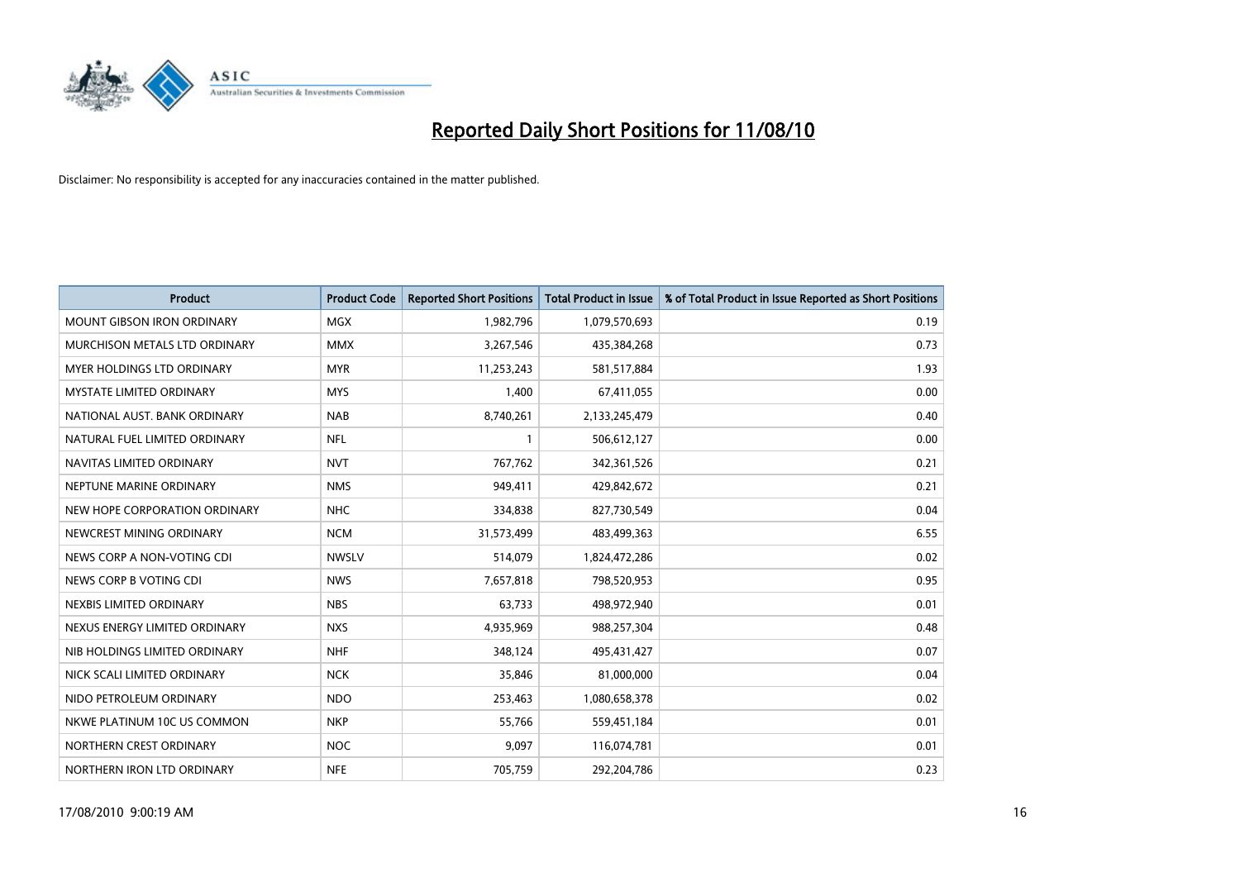

| <b>Product</b>                    | <b>Product Code</b> | <b>Reported Short Positions</b> | <b>Total Product in Issue</b> | % of Total Product in Issue Reported as Short Positions |
|-----------------------------------|---------------------|---------------------------------|-------------------------------|---------------------------------------------------------|
| <b>MOUNT GIBSON IRON ORDINARY</b> | <b>MGX</b>          | 1,982,796                       | 1,079,570,693                 | 0.19                                                    |
| MURCHISON METALS LTD ORDINARY     | <b>MMX</b>          | 3,267,546                       | 435,384,268                   | 0.73                                                    |
| <b>MYER HOLDINGS LTD ORDINARY</b> | <b>MYR</b>          | 11,253,243                      | 581,517,884                   | 1.93                                                    |
| <b>MYSTATE LIMITED ORDINARY</b>   | <b>MYS</b>          | 1,400                           | 67,411,055                    | 0.00                                                    |
| NATIONAL AUST. BANK ORDINARY      | <b>NAB</b>          | 8,740,261                       | 2,133,245,479                 | 0.40                                                    |
| NATURAL FUEL LIMITED ORDINARY     | <b>NFL</b>          |                                 | 506,612,127                   | 0.00                                                    |
| NAVITAS LIMITED ORDINARY          | <b>NVT</b>          | 767,762                         | 342,361,526                   | 0.21                                                    |
| NEPTUNE MARINE ORDINARY           | <b>NMS</b>          | 949,411                         | 429,842,672                   | 0.21                                                    |
| NEW HOPE CORPORATION ORDINARY     | <b>NHC</b>          | 334,838                         | 827,730,549                   | 0.04                                                    |
| NEWCREST MINING ORDINARY          | <b>NCM</b>          | 31,573,499                      | 483,499,363                   | 6.55                                                    |
| NEWS CORP A NON-VOTING CDI        | <b>NWSLV</b>        | 514,079                         | 1,824,472,286                 | 0.02                                                    |
| NEWS CORP B VOTING CDI            | <b>NWS</b>          | 7,657,818                       | 798,520,953                   | 0.95                                                    |
| NEXBIS LIMITED ORDINARY           | <b>NBS</b>          | 63,733                          | 498,972,940                   | 0.01                                                    |
| NEXUS ENERGY LIMITED ORDINARY     | <b>NXS</b>          | 4,935,969                       | 988,257,304                   | 0.48                                                    |
| NIB HOLDINGS LIMITED ORDINARY     | <b>NHF</b>          | 348.124                         | 495,431,427                   | 0.07                                                    |
| NICK SCALI LIMITED ORDINARY       | <b>NCK</b>          | 35,846                          | 81,000,000                    | 0.04                                                    |
| NIDO PETROLEUM ORDINARY           | <b>NDO</b>          | 253,463                         | 1,080,658,378                 | 0.02                                                    |
| NKWE PLATINUM 10C US COMMON       | <b>NKP</b>          | 55,766                          | 559,451,184                   | 0.01                                                    |
| NORTHERN CREST ORDINARY           | <b>NOC</b>          | 9,097                           | 116,074,781                   | 0.01                                                    |
| NORTHERN IRON LTD ORDINARY        | <b>NFE</b>          | 705,759                         | 292,204,786                   | 0.23                                                    |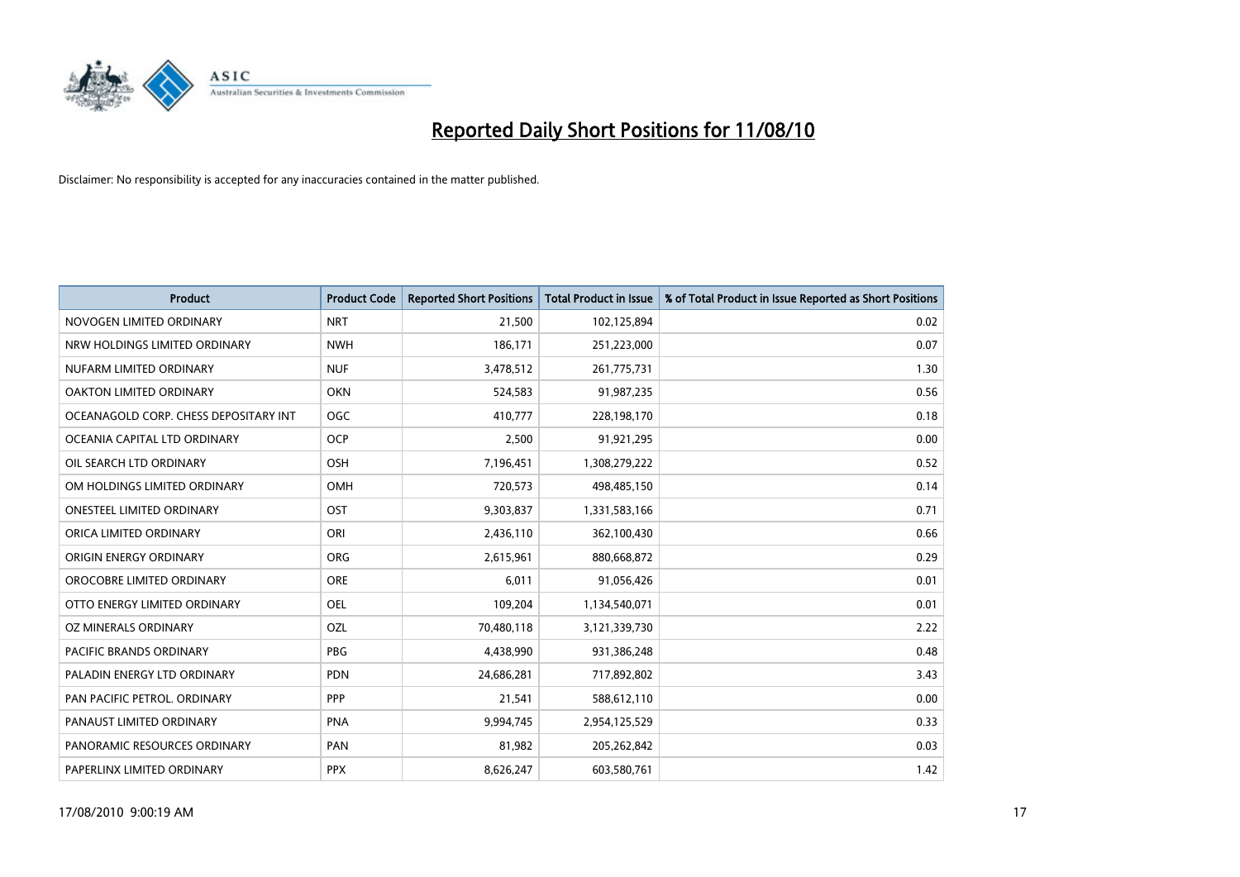

| <b>Product</b>                        | <b>Product Code</b> | <b>Reported Short Positions</b> | <b>Total Product in Issue</b> | % of Total Product in Issue Reported as Short Positions |
|---------------------------------------|---------------------|---------------------------------|-------------------------------|---------------------------------------------------------|
| NOVOGEN LIMITED ORDINARY              | <b>NRT</b>          | 21.500                          | 102,125,894                   | 0.02                                                    |
| NRW HOLDINGS LIMITED ORDINARY         | <b>NWH</b>          | 186,171                         | 251,223,000                   | 0.07                                                    |
| NUFARM LIMITED ORDINARY               | <b>NUF</b>          | 3,478,512                       | 261,775,731                   | 1.30                                                    |
| OAKTON LIMITED ORDINARY               | OKN                 | 524,583                         | 91,987,235                    | 0.56                                                    |
| OCEANAGOLD CORP. CHESS DEPOSITARY INT | <b>OGC</b>          | 410,777                         | 228,198,170                   | 0.18                                                    |
| OCEANIA CAPITAL LTD ORDINARY          | <b>OCP</b>          | 2,500                           | 91,921,295                    | 0.00                                                    |
| OIL SEARCH LTD ORDINARY               | OSH                 | 7,196,451                       | 1,308,279,222                 | 0.52                                                    |
| OM HOLDINGS LIMITED ORDINARY          | <b>OMH</b>          | 720,573                         | 498,485,150                   | 0.14                                                    |
| <b>ONESTEEL LIMITED ORDINARY</b>      | OST                 | 9,303,837                       | 1,331,583,166                 | 0.71                                                    |
| ORICA LIMITED ORDINARY                | ORI                 | 2,436,110                       | 362,100,430                   | 0.66                                                    |
| ORIGIN ENERGY ORDINARY                | <b>ORG</b>          | 2,615,961                       | 880,668,872                   | 0.29                                                    |
| OROCOBRE LIMITED ORDINARY             | <b>ORE</b>          | 6,011                           | 91,056,426                    | 0.01                                                    |
| OTTO ENERGY LIMITED ORDINARY          | <b>OEL</b>          | 109,204                         | 1,134,540,071                 | 0.01                                                    |
| OZ MINERALS ORDINARY                  | OZL                 | 70,480,118                      | 3,121,339,730                 | 2.22                                                    |
| <b>PACIFIC BRANDS ORDINARY</b>        | <b>PBG</b>          | 4,438,990                       | 931,386,248                   | 0.48                                                    |
| PALADIN ENERGY LTD ORDINARY           | <b>PDN</b>          | 24,686,281                      | 717,892,802                   | 3.43                                                    |
| PAN PACIFIC PETROL. ORDINARY          | PPP                 | 21,541                          | 588,612,110                   | 0.00                                                    |
| PANAUST LIMITED ORDINARY              | <b>PNA</b>          | 9,994,745                       | 2,954,125,529                 | 0.33                                                    |
| PANORAMIC RESOURCES ORDINARY          | PAN                 | 81,982                          | 205,262,842                   | 0.03                                                    |
| PAPERLINX LIMITED ORDINARY            | <b>PPX</b>          | 8,626,247                       | 603,580,761                   | 1.42                                                    |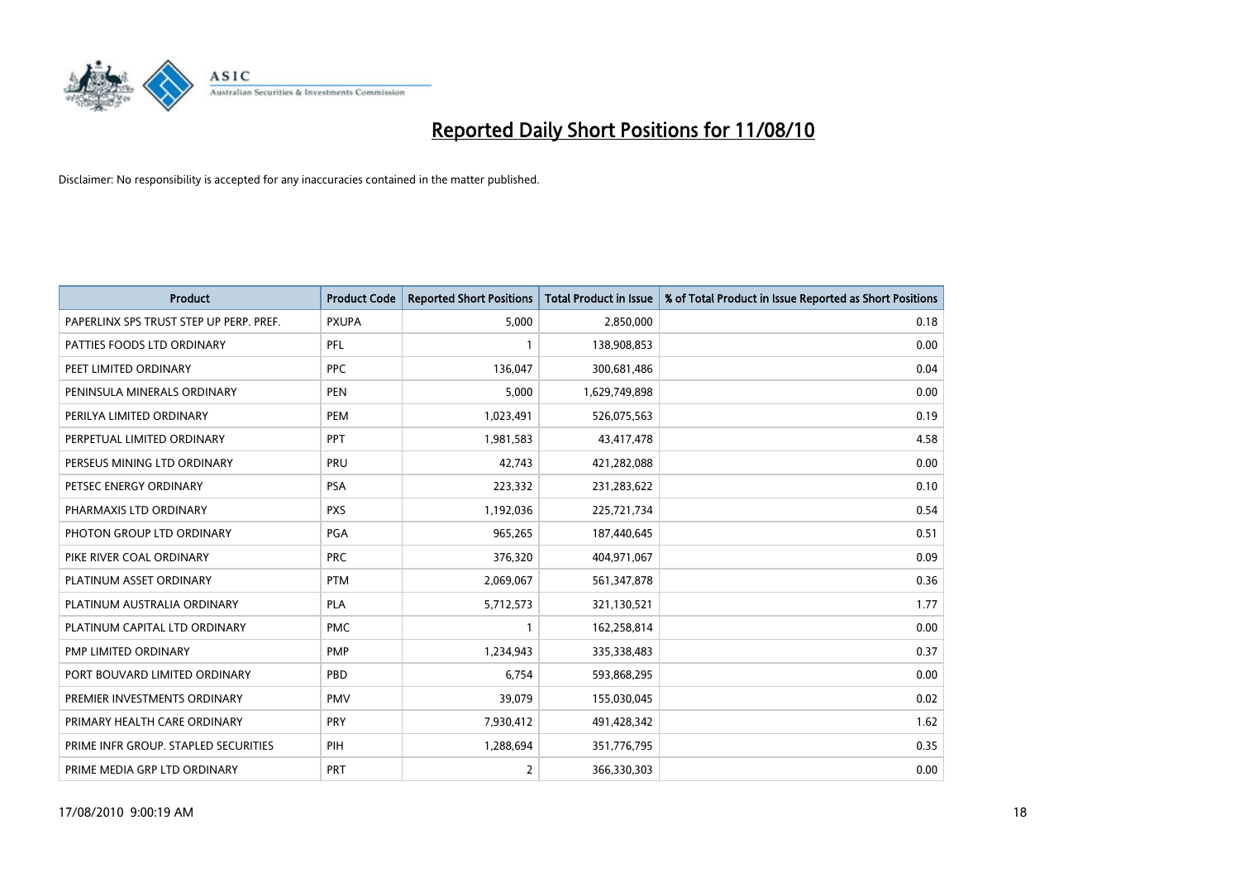

| <b>Product</b>                          | <b>Product Code</b> | <b>Reported Short Positions</b> | Total Product in Issue | % of Total Product in Issue Reported as Short Positions |
|-----------------------------------------|---------------------|---------------------------------|------------------------|---------------------------------------------------------|
| PAPERLINX SPS TRUST STEP UP PERP. PREF. | <b>PXUPA</b>        | 5,000                           | 2,850,000              | 0.18                                                    |
| PATTIES FOODS LTD ORDINARY              | <b>PFL</b>          |                                 | 138,908,853            | 0.00                                                    |
| PEET LIMITED ORDINARY                   | <b>PPC</b>          | 136,047                         | 300,681,486            | 0.04                                                    |
| PENINSULA MINERALS ORDINARY             | <b>PEN</b>          | 5,000                           | 1,629,749,898          | 0.00                                                    |
| PERILYA LIMITED ORDINARY                | PEM                 | 1,023,491                       | 526,075,563            | 0.19                                                    |
| PERPETUAL LIMITED ORDINARY              | PPT                 | 1,981,583                       | 43,417,478             | 4.58                                                    |
| PERSEUS MINING LTD ORDINARY             | PRU                 | 42,743                          | 421,282,088            | 0.00                                                    |
| PETSEC ENERGY ORDINARY                  | <b>PSA</b>          | 223,332                         | 231,283,622            | 0.10                                                    |
| PHARMAXIS LTD ORDINARY                  | <b>PXS</b>          | 1,192,036                       | 225,721,734            | 0.54                                                    |
| PHOTON GROUP LTD ORDINARY               | PGA                 | 965,265                         | 187,440,645            | 0.51                                                    |
| PIKE RIVER COAL ORDINARY                | <b>PRC</b>          | 376,320                         | 404,971,067            | 0.09                                                    |
| PLATINUM ASSET ORDINARY                 | <b>PTM</b>          | 2,069,067                       | 561,347,878            | 0.36                                                    |
| PLATINUM AUSTRALIA ORDINARY             | PLA                 | 5,712,573                       | 321,130,521            | 1.77                                                    |
| PLATINUM CAPITAL LTD ORDINARY           | <b>PMC</b>          |                                 | 162,258,814            | 0.00                                                    |
| PMP LIMITED ORDINARY                    | <b>PMP</b>          | 1,234,943                       | 335,338,483            | 0.37                                                    |
| PORT BOUVARD LIMITED ORDINARY           | PBD                 | 6,754                           | 593,868,295            | 0.00                                                    |
| PREMIER INVESTMENTS ORDINARY            | <b>PMV</b>          | 39,079                          | 155,030,045            | 0.02                                                    |
| PRIMARY HEALTH CARE ORDINARY            | <b>PRY</b>          | 7,930,412                       | 491,428,342            | 1.62                                                    |
| PRIME INFR GROUP. STAPLED SECURITIES    | PIH                 | 1,288,694                       | 351,776,795            | 0.35                                                    |
| PRIME MEDIA GRP LTD ORDINARY            | <b>PRT</b>          | $\overline{2}$                  | 366,330,303            | 0.00                                                    |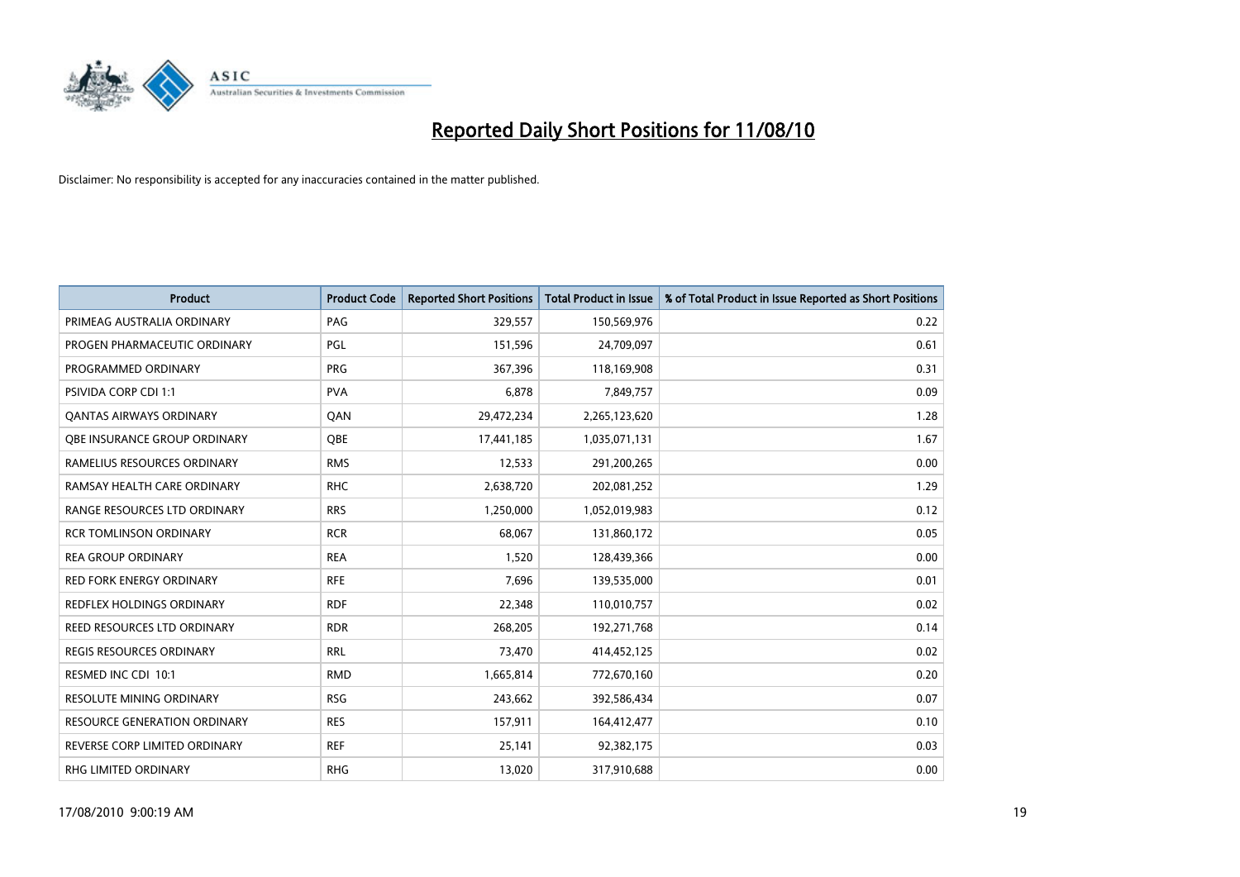

| <b>Product</b>                  | <b>Product Code</b> | <b>Reported Short Positions</b> | <b>Total Product in Issue</b> | % of Total Product in Issue Reported as Short Positions |
|---------------------------------|---------------------|---------------------------------|-------------------------------|---------------------------------------------------------|
| PRIMEAG AUSTRALIA ORDINARY      | PAG                 | 329,557                         | 150,569,976                   | 0.22                                                    |
| PROGEN PHARMACEUTIC ORDINARY    | PGL                 | 151,596                         | 24,709,097                    | 0.61                                                    |
| PROGRAMMED ORDINARY             | <b>PRG</b>          | 367,396                         | 118,169,908                   | 0.31                                                    |
| PSIVIDA CORP CDI 1:1            | <b>PVA</b>          | 6,878                           | 7,849,757                     | 0.09                                                    |
| <b>QANTAS AIRWAYS ORDINARY</b>  | QAN                 | 29,472,234                      | 2,265,123,620                 | 1.28                                                    |
| OBE INSURANCE GROUP ORDINARY    | <b>OBE</b>          | 17,441,185                      | 1,035,071,131                 | 1.67                                                    |
| RAMELIUS RESOURCES ORDINARY     | <b>RMS</b>          | 12,533                          | 291,200,265                   | 0.00                                                    |
| RAMSAY HEALTH CARE ORDINARY     | <b>RHC</b>          | 2,638,720                       | 202,081,252                   | 1.29                                                    |
| RANGE RESOURCES LTD ORDINARY    | <b>RRS</b>          | 1,250,000                       | 1,052,019,983                 | 0.12                                                    |
| <b>RCR TOMLINSON ORDINARY</b>   | <b>RCR</b>          | 68,067                          | 131,860,172                   | 0.05                                                    |
| <b>REA GROUP ORDINARY</b>       | <b>REA</b>          | 1,520                           | 128,439,366                   | 0.00                                                    |
| <b>RED FORK ENERGY ORDINARY</b> | <b>RFE</b>          | 7,696                           | 139,535,000                   | 0.01                                                    |
| REDFLEX HOLDINGS ORDINARY       | <b>RDF</b>          | 22,348                          | 110,010,757                   | 0.02                                                    |
| REED RESOURCES LTD ORDINARY     | <b>RDR</b>          | 268,205                         | 192,271,768                   | 0.14                                                    |
| <b>REGIS RESOURCES ORDINARY</b> | <b>RRL</b>          | 73,470                          | 414,452,125                   | 0.02                                                    |
| RESMED INC CDI 10:1             | <b>RMD</b>          | 1,665,814                       | 772,670,160                   | 0.20                                                    |
| RESOLUTE MINING ORDINARY        | <b>RSG</b>          | 243,662                         | 392,586,434                   | 0.07                                                    |
| RESOURCE GENERATION ORDINARY    | <b>RES</b>          | 157,911                         | 164,412,477                   | 0.10                                                    |
| REVERSE CORP LIMITED ORDINARY   | <b>REF</b>          | 25,141                          | 92,382,175                    | 0.03                                                    |
| RHG LIMITED ORDINARY            | <b>RHG</b>          | 13,020                          | 317,910,688                   | 0.00                                                    |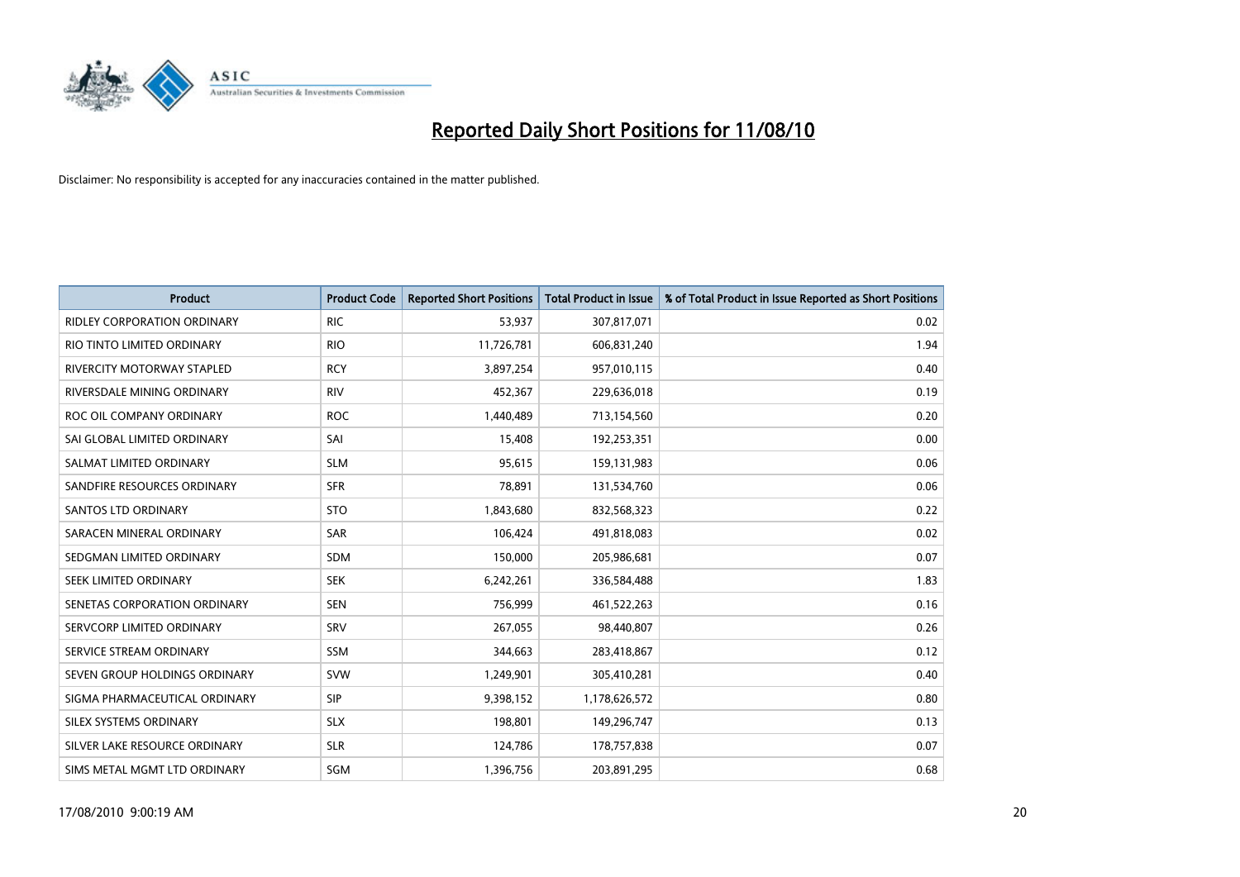

| <b>Product</b>                     | <b>Product Code</b> | <b>Reported Short Positions</b> | <b>Total Product in Issue</b> | % of Total Product in Issue Reported as Short Positions |
|------------------------------------|---------------------|---------------------------------|-------------------------------|---------------------------------------------------------|
| <b>RIDLEY CORPORATION ORDINARY</b> | <b>RIC</b>          | 53,937                          | 307,817,071                   | 0.02                                                    |
| RIO TINTO LIMITED ORDINARY         | <b>RIO</b>          | 11,726,781                      | 606,831,240                   | 1.94                                                    |
| RIVERCITY MOTORWAY STAPLED         | <b>RCY</b>          | 3,897,254                       | 957,010,115                   | 0.40                                                    |
| RIVERSDALE MINING ORDINARY         | <b>RIV</b>          | 452,367                         | 229,636,018                   | 0.19                                                    |
| ROC OIL COMPANY ORDINARY           | <b>ROC</b>          | 1,440,489                       | 713,154,560                   | 0.20                                                    |
| SAI GLOBAL LIMITED ORDINARY        | SAI                 | 15,408                          | 192,253,351                   | 0.00                                                    |
| SALMAT LIMITED ORDINARY            | <b>SLM</b>          | 95,615                          | 159,131,983                   | 0.06                                                    |
| SANDFIRE RESOURCES ORDINARY        | <b>SFR</b>          | 78,891                          | 131,534,760                   | 0.06                                                    |
| SANTOS LTD ORDINARY                | <b>STO</b>          | 1,843,680                       | 832,568,323                   | 0.22                                                    |
| SARACEN MINERAL ORDINARY           | SAR                 | 106,424                         | 491,818,083                   | 0.02                                                    |
| SEDGMAN LIMITED ORDINARY           | <b>SDM</b>          | 150,000                         | 205,986,681                   | 0.07                                                    |
| SEEK LIMITED ORDINARY              | <b>SEK</b>          | 6,242,261                       | 336,584,488                   | 1.83                                                    |
| SENETAS CORPORATION ORDINARY       | <b>SEN</b>          | 756,999                         | 461,522,263                   | 0.16                                                    |
| SERVCORP LIMITED ORDINARY          | SRV                 | 267,055                         | 98,440,807                    | 0.26                                                    |
| SERVICE STREAM ORDINARY            | <b>SSM</b>          | 344,663                         | 283,418,867                   | 0.12                                                    |
| SEVEN GROUP HOLDINGS ORDINARY      | <b>SVW</b>          | 1,249,901                       | 305,410,281                   | 0.40                                                    |
| SIGMA PHARMACEUTICAL ORDINARY      | SIP                 | 9,398,152                       | 1,178,626,572                 | 0.80                                                    |
| SILEX SYSTEMS ORDINARY             | <b>SLX</b>          | 198,801                         | 149,296,747                   | 0.13                                                    |
| SILVER LAKE RESOURCE ORDINARY      | <b>SLR</b>          | 124,786                         | 178,757,838                   | 0.07                                                    |
| SIMS METAL MGMT LTD ORDINARY       | SGM                 | 1,396,756                       | 203,891,295                   | 0.68                                                    |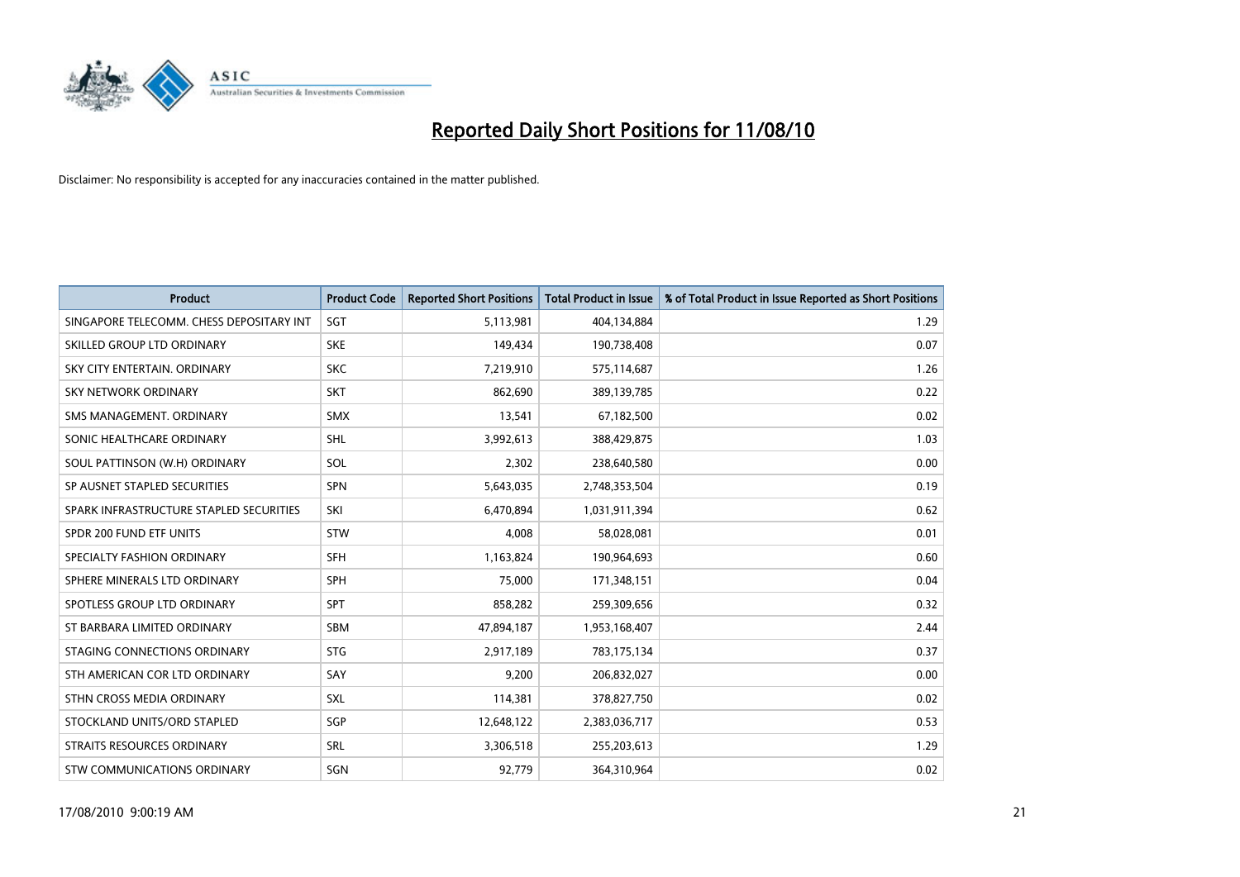

| <b>Product</b>                           | <b>Product Code</b> | <b>Reported Short Positions</b> | <b>Total Product in Issue</b> | % of Total Product in Issue Reported as Short Positions |
|------------------------------------------|---------------------|---------------------------------|-------------------------------|---------------------------------------------------------|
| SINGAPORE TELECOMM. CHESS DEPOSITARY INT | SGT                 | 5,113,981                       | 404,134,884                   | 1.29                                                    |
| SKILLED GROUP LTD ORDINARY               | <b>SKE</b>          | 149,434                         | 190,738,408                   | 0.07                                                    |
| SKY CITY ENTERTAIN, ORDINARY             | <b>SKC</b>          | 7,219,910                       | 575,114,687                   | 1.26                                                    |
| SKY NETWORK ORDINARY                     | <b>SKT</b>          | 862,690                         | 389,139,785                   | 0.22                                                    |
| SMS MANAGEMENT, ORDINARY                 | <b>SMX</b>          | 13,541                          | 67,182,500                    | 0.02                                                    |
| SONIC HEALTHCARE ORDINARY                | <b>SHL</b>          | 3,992,613                       | 388,429,875                   | 1.03                                                    |
| SOUL PATTINSON (W.H) ORDINARY            | SOL                 | 2,302                           | 238,640,580                   | 0.00                                                    |
| SP AUSNET STAPLED SECURITIES             | <b>SPN</b>          | 5,643,035                       | 2,748,353,504                 | 0.19                                                    |
| SPARK INFRASTRUCTURE STAPLED SECURITIES  | SKI                 | 6.470.894                       | 1,031,911,394                 | 0.62                                                    |
| SPDR 200 FUND ETF UNITS                  | <b>STW</b>          | 4,008                           | 58,028,081                    | 0.01                                                    |
| SPECIALTY FASHION ORDINARY               | <b>SFH</b>          | 1,163,824                       | 190,964,693                   | 0.60                                                    |
| SPHERE MINERALS LTD ORDINARY             | <b>SPH</b>          | 75,000                          | 171,348,151                   | 0.04                                                    |
| SPOTLESS GROUP LTD ORDINARY              | <b>SPT</b>          | 858,282                         | 259,309,656                   | 0.32                                                    |
| ST BARBARA LIMITED ORDINARY              | SBM                 | 47,894,187                      | 1,953,168,407                 | 2.44                                                    |
| STAGING CONNECTIONS ORDINARY             | <b>STG</b>          | 2,917,189                       | 783,175,134                   | 0.37                                                    |
| STH AMERICAN COR LTD ORDINARY            | SAY                 | 9,200                           | 206,832,027                   | 0.00                                                    |
| STHN CROSS MEDIA ORDINARY                | <b>SXL</b>          | 114,381                         | 378,827,750                   | 0.02                                                    |
| STOCKLAND UNITS/ORD STAPLED              | <b>SGP</b>          | 12,648,122                      | 2,383,036,717                 | 0.53                                                    |
| STRAITS RESOURCES ORDINARY               | SRL                 | 3,306,518                       | 255,203,613                   | 1.29                                                    |
| STW COMMUNICATIONS ORDINARY              | SGN                 | 92,779                          | 364,310,964                   | 0.02                                                    |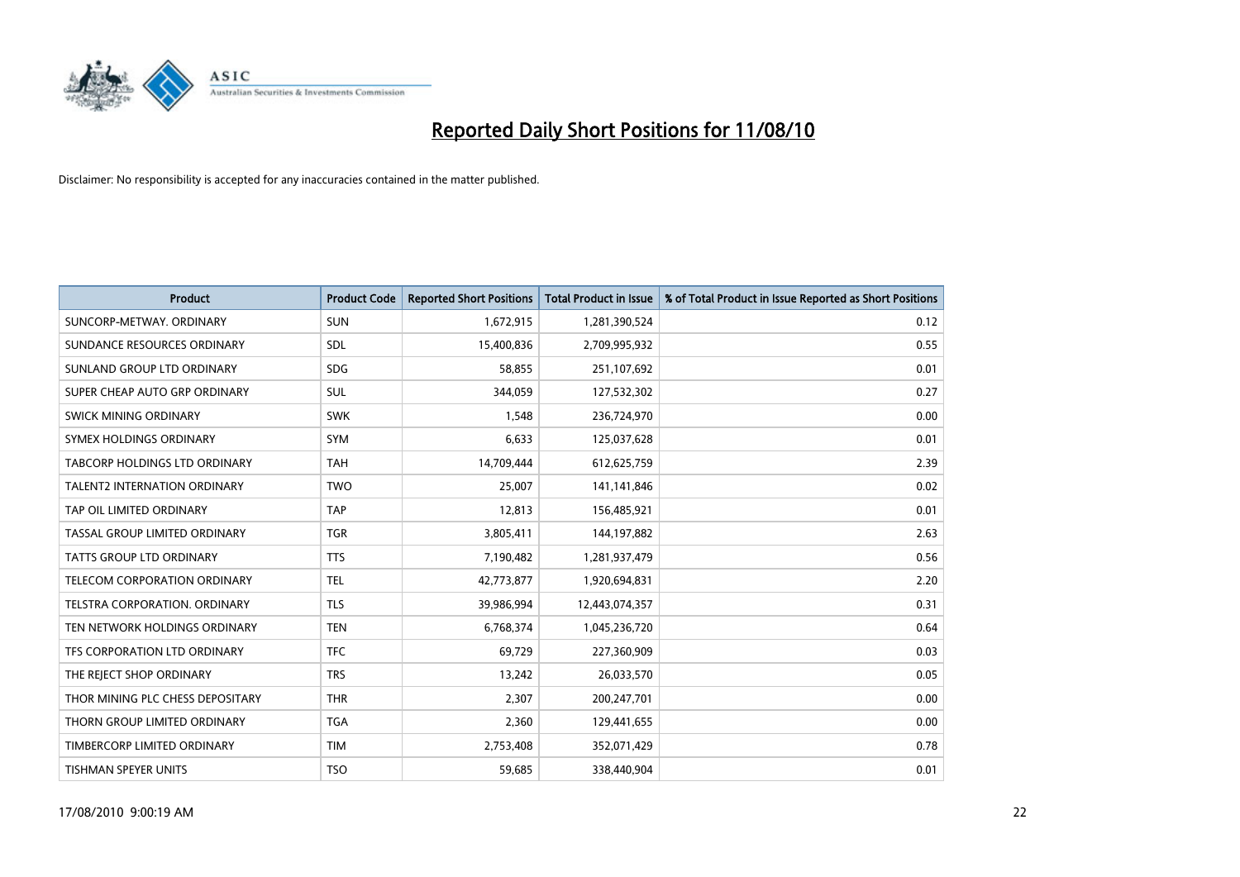

| <b>Product</b>                       | <b>Product Code</b> | <b>Reported Short Positions</b> | Total Product in Issue | % of Total Product in Issue Reported as Short Positions |
|--------------------------------------|---------------------|---------------------------------|------------------------|---------------------------------------------------------|
| SUNCORP-METWAY, ORDINARY             | <b>SUN</b>          | 1,672,915                       | 1,281,390,524          | 0.12                                                    |
| SUNDANCE RESOURCES ORDINARY          | <b>SDL</b>          | 15,400,836                      | 2,709,995,932          | 0.55                                                    |
| SUNLAND GROUP LTD ORDINARY           | <b>SDG</b>          | 58,855                          | 251,107,692            | 0.01                                                    |
| SUPER CHEAP AUTO GRP ORDINARY        | SUL                 | 344,059                         | 127,532,302            | 0.27                                                    |
| SWICK MINING ORDINARY                | <b>SWK</b>          | 1.548                           | 236,724,970            | 0.00                                                    |
| SYMEX HOLDINGS ORDINARY              | SYM                 | 6,633                           | 125,037,628            | 0.01                                                    |
| <b>TABCORP HOLDINGS LTD ORDINARY</b> | <b>TAH</b>          | 14,709,444                      | 612,625,759            | 2.39                                                    |
| <b>TALENT2 INTERNATION ORDINARY</b>  | <b>TWO</b>          | 25,007                          | 141,141,846            | 0.02                                                    |
| TAP OIL LIMITED ORDINARY             | <b>TAP</b>          | 12,813                          | 156,485,921            | 0.01                                                    |
| TASSAL GROUP LIMITED ORDINARY        | <b>TGR</b>          | 3,805,411                       | 144,197,882            | 2.63                                                    |
| <b>TATTS GROUP LTD ORDINARY</b>      | <b>TTS</b>          | 7,190,482                       | 1,281,937,479          | 0.56                                                    |
| <b>TELECOM CORPORATION ORDINARY</b>  | <b>TEL</b>          | 42,773,877                      | 1,920,694,831          | 2.20                                                    |
| <b>TELSTRA CORPORATION, ORDINARY</b> | <b>TLS</b>          | 39,986,994                      | 12,443,074,357         | 0.31                                                    |
| TEN NETWORK HOLDINGS ORDINARY        | <b>TEN</b>          | 6,768,374                       | 1,045,236,720          | 0.64                                                    |
| TFS CORPORATION LTD ORDINARY         | <b>TFC</b>          | 69,729                          | 227,360,909            | 0.03                                                    |
| THE REJECT SHOP ORDINARY             | <b>TRS</b>          | 13,242                          | 26,033,570             | 0.05                                                    |
| THOR MINING PLC CHESS DEPOSITARY     | <b>THR</b>          | 2,307                           | 200,247,701            | 0.00                                                    |
| THORN GROUP LIMITED ORDINARY         | <b>TGA</b>          | 2,360                           | 129,441,655            | 0.00                                                    |
| TIMBERCORP LIMITED ORDINARY          | <b>TIM</b>          | 2,753,408                       | 352,071,429            | 0.78                                                    |
| <b>TISHMAN SPEYER UNITS</b>          | <b>TSO</b>          | 59,685                          | 338,440,904            | 0.01                                                    |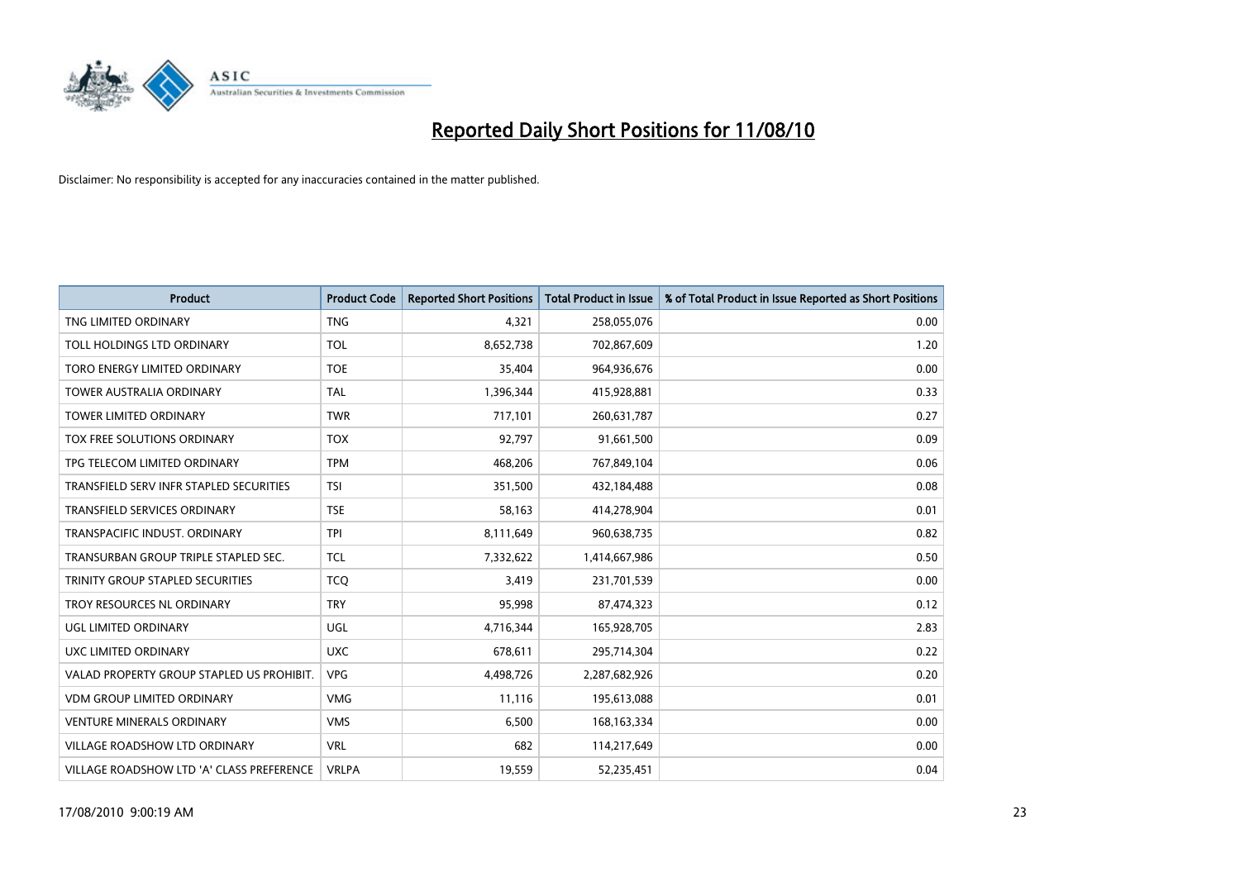

| <b>Product</b>                            | <b>Product Code</b> | <b>Reported Short Positions</b> | Total Product in Issue | % of Total Product in Issue Reported as Short Positions |
|-------------------------------------------|---------------------|---------------------------------|------------------------|---------------------------------------------------------|
| TNG LIMITED ORDINARY                      | <b>TNG</b>          | 4,321                           | 258,055,076            | 0.00                                                    |
| TOLL HOLDINGS LTD ORDINARY                | <b>TOL</b>          | 8,652,738                       | 702,867,609            | 1.20                                                    |
| TORO ENERGY LIMITED ORDINARY              | <b>TOE</b>          | 35,404                          | 964,936,676            | 0.00                                                    |
| TOWER AUSTRALIA ORDINARY                  | <b>TAL</b>          | 1,396,344                       | 415,928,881            | 0.33                                                    |
| <b>TOWER LIMITED ORDINARY</b>             | <b>TWR</b>          | 717,101                         | 260,631,787            | 0.27                                                    |
| <b>TOX FREE SOLUTIONS ORDINARY</b>        | <b>TOX</b>          | 92,797                          | 91,661,500             | 0.09                                                    |
| TPG TELECOM LIMITED ORDINARY              | <b>TPM</b>          | 468,206                         | 767,849,104            | 0.06                                                    |
| TRANSFIELD SERV INFR STAPLED SECURITIES   | <b>TSI</b>          | 351,500                         | 432,184,488            | 0.08                                                    |
| <b>TRANSFIELD SERVICES ORDINARY</b>       | <b>TSE</b>          | 58,163                          | 414,278,904            | 0.01                                                    |
| TRANSPACIFIC INDUST, ORDINARY             | <b>TPI</b>          | 8,111,649                       | 960,638,735            | 0.82                                                    |
| TRANSURBAN GROUP TRIPLE STAPLED SEC.      | <b>TCL</b>          | 7,332,622                       | 1,414,667,986          | 0.50                                                    |
| TRINITY GROUP STAPLED SECURITIES          | <b>TCQ</b>          | 3,419                           | 231,701,539            | 0.00                                                    |
| TROY RESOURCES NL ORDINARY                | <b>TRY</b>          | 95,998                          | 87,474,323             | 0.12                                                    |
| UGL LIMITED ORDINARY                      | UGL                 | 4,716,344                       | 165,928,705            | 2.83                                                    |
| UXC LIMITED ORDINARY                      | <b>UXC</b>          | 678,611                         | 295,714,304            | 0.22                                                    |
| VALAD PROPERTY GROUP STAPLED US PROHIBIT. | <b>VPG</b>          | 4,498,726                       | 2,287,682,926          | 0.20                                                    |
| <b>VDM GROUP LIMITED ORDINARY</b>         | <b>VMG</b>          | 11,116                          | 195,613,088            | 0.01                                                    |
| <b>VENTURE MINERALS ORDINARY</b>          | <b>VMS</b>          | 6,500                           | 168, 163, 334          | 0.00                                                    |
| <b>VILLAGE ROADSHOW LTD ORDINARY</b>      | <b>VRL</b>          | 682                             | 114,217,649            | 0.00                                                    |
| VILLAGE ROADSHOW LTD 'A' CLASS PREFERENCE | <b>VRLPA</b>        | 19,559                          | 52,235,451             | 0.04                                                    |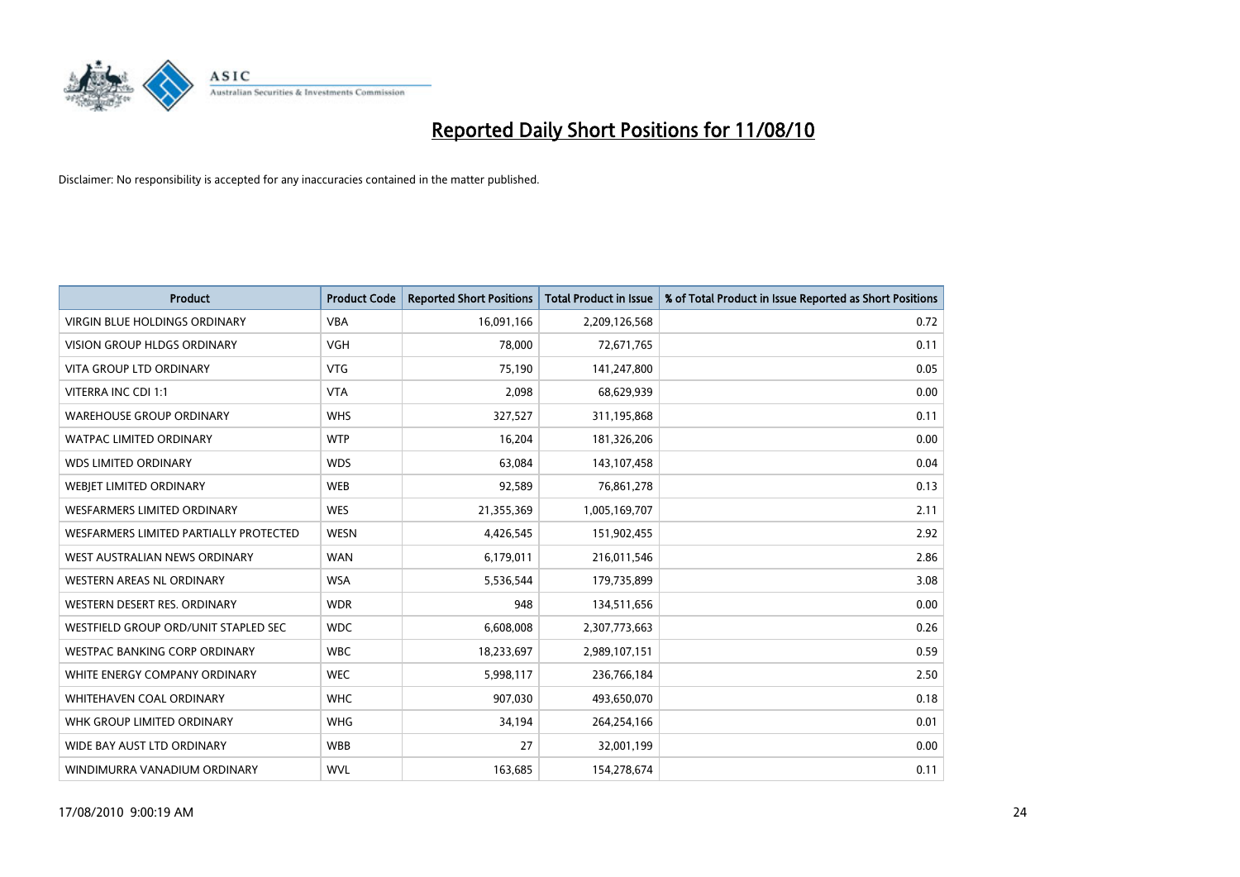

| <b>Product</b>                         | <b>Product Code</b> | <b>Reported Short Positions</b> | <b>Total Product in Issue</b> | % of Total Product in Issue Reported as Short Positions |
|----------------------------------------|---------------------|---------------------------------|-------------------------------|---------------------------------------------------------|
| <b>VIRGIN BLUE HOLDINGS ORDINARY</b>   | <b>VBA</b>          | 16,091,166                      | 2,209,126,568                 | 0.72                                                    |
| VISION GROUP HLDGS ORDINARY            | <b>VGH</b>          | 78,000                          | 72,671,765                    | 0.11                                                    |
| <b>VITA GROUP LTD ORDINARY</b>         | <b>VTG</b>          | 75.190                          | 141,247,800                   | 0.05                                                    |
| VITERRA INC CDI 1:1                    | <b>VTA</b>          | 2,098                           | 68,629,939                    | 0.00                                                    |
| <b>WAREHOUSE GROUP ORDINARY</b>        | <b>WHS</b>          | 327,527                         | 311,195,868                   | 0.11                                                    |
| <b>WATPAC LIMITED ORDINARY</b>         | <b>WTP</b>          | 16,204                          | 181,326,206                   | 0.00                                                    |
| <b>WDS LIMITED ORDINARY</b>            | <b>WDS</b>          | 63,084                          | 143,107,458                   | 0.04                                                    |
| WEBJET LIMITED ORDINARY                | <b>WEB</b>          | 92,589                          | 76,861,278                    | 0.13                                                    |
| <b>WESFARMERS LIMITED ORDINARY</b>     | <b>WES</b>          | 21,355,369                      | 1,005,169,707                 | 2.11                                                    |
| WESFARMERS LIMITED PARTIALLY PROTECTED | <b>WESN</b>         | 4,426,545                       | 151,902,455                   | 2.92                                                    |
| WEST AUSTRALIAN NEWS ORDINARY          | <b>WAN</b>          | 6,179,011                       | 216,011,546                   | 2.86                                                    |
| WESTERN AREAS NL ORDINARY              | <b>WSA</b>          | 5,536,544                       | 179,735,899                   | 3.08                                                    |
| WESTERN DESERT RES. ORDINARY           | <b>WDR</b>          | 948                             | 134,511,656                   | 0.00                                                    |
| WESTFIELD GROUP ORD/UNIT STAPLED SEC   | <b>WDC</b>          | 6,608,008                       | 2,307,773,663                 | 0.26                                                    |
| <b>WESTPAC BANKING CORP ORDINARY</b>   | <b>WBC</b>          | 18,233,697                      | 2,989,107,151                 | 0.59                                                    |
| WHITE ENERGY COMPANY ORDINARY          | <b>WEC</b>          | 5,998,117                       | 236,766,184                   | 2.50                                                    |
| WHITEHAVEN COAL ORDINARY               | <b>WHC</b>          | 907,030                         | 493,650,070                   | 0.18                                                    |
| WHK GROUP LIMITED ORDINARY             | <b>WHG</b>          | 34,194                          | 264,254,166                   | 0.01                                                    |
| WIDE BAY AUST LTD ORDINARY             | <b>WBB</b>          | 27                              | 32,001,199                    | 0.00                                                    |
| WINDIMURRA VANADIUM ORDINARY           | <b>WVL</b>          | 163,685                         | 154,278,674                   | 0.11                                                    |